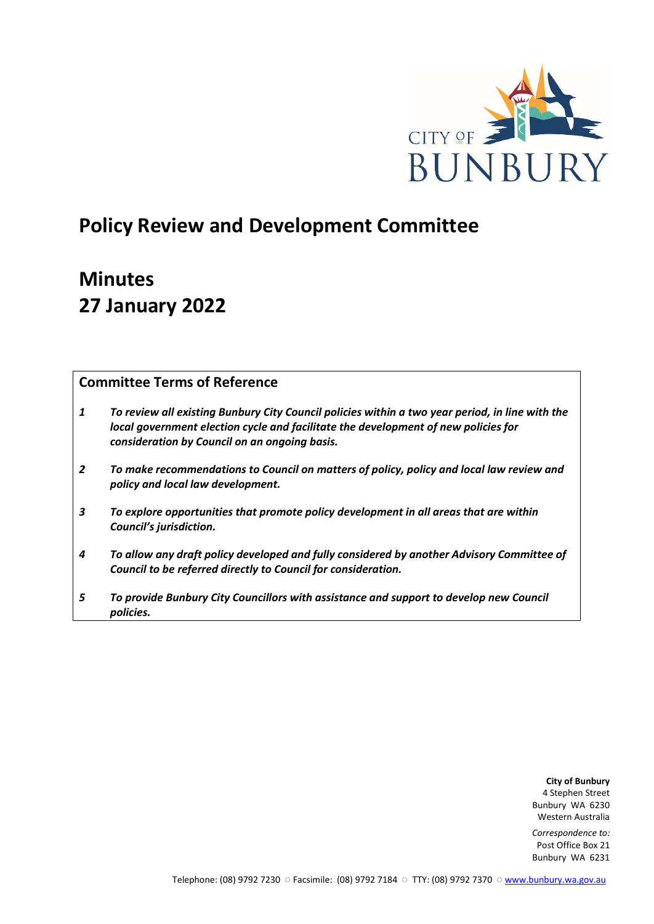

## **Policy Review and Development Committee**

# **Minutes 27 January 2022**

## **Committee Terms of Reference**

- *1 To review all existing Bunbury City Council policies within a two year period, in line with the local government election cycle and facilitate the development of new policies for consideration by Council on an ongoing basis.*
- *2 To make recommendations to Council on matters of policy, policy and local law review and policy and local law development.*
- *3 To explore opportunities that promote policy development in all areas that are within Council's jurisdiction.*
- *4 To allow any draft policy developed and fully considered by another Advisory Committee of Council to be referred directly to Council for consideration.*
- *5 To provide Bunbury City Councillors with assistance and support to develop new Council policies.*

**City of Bunbury** 4 Stephen Street Bunbury WA 6230 Western Australia

*Correspondence to:* Post Office Box 21 Bunbury WA 6231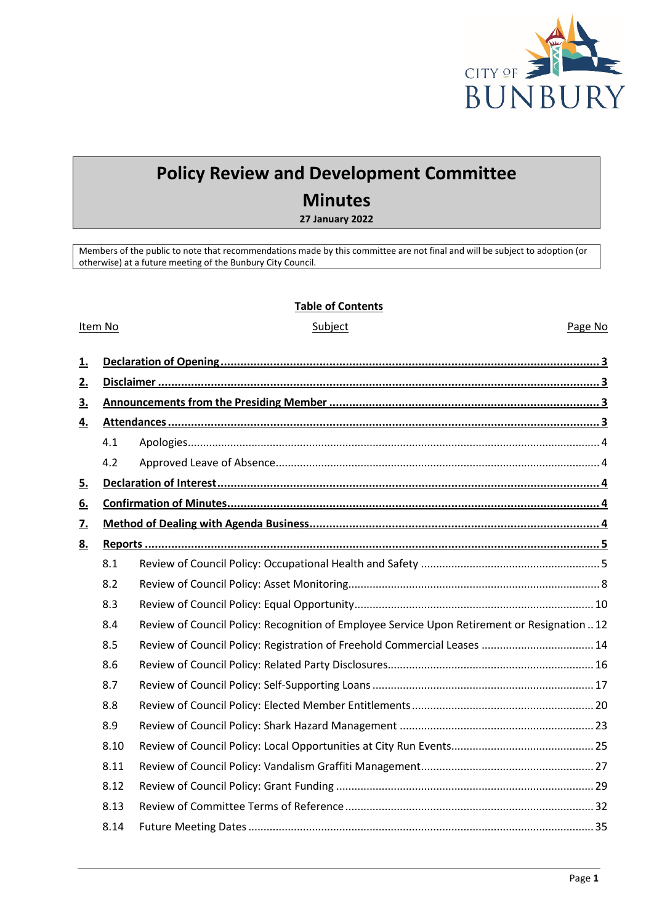

## **Policy Review and Development Committee**

## **Minutes**

**27 January 2022**

Members of the public to note that recommendations made by this committee are not final and will be subject to adoption (or otherwise) at a future meeting of the Bunbury City Council.

### **Table of Contents**

### Item No **Subject** Subject **Page No. 2016**

| 1.        |      |                                                                                              |  |  |  |
|-----------|------|----------------------------------------------------------------------------------------------|--|--|--|
| 2.        |      |                                                                                              |  |  |  |
| 3.        |      |                                                                                              |  |  |  |
| 4.        |      |                                                                                              |  |  |  |
|           | 4.1  |                                                                                              |  |  |  |
|           | 4.2  |                                                                                              |  |  |  |
| 5.        |      |                                                                                              |  |  |  |
| 6.        |      |                                                                                              |  |  |  |
| <u>7.</u> |      |                                                                                              |  |  |  |
| 8.        |      |                                                                                              |  |  |  |
|           | 8.1  |                                                                                              |  |  |  |
|           | 8.2  |                                                                                              |  |  |  |
|           | 8.3  |                                                                                              |  |  |  |
|           | 8.4  | Review of Council Policy: Recognition of Employee Service Upon Retirement or Resignation  12 |  |  |  |
|           | 8.5  |                                                                                              |  |  |  |
|           | 8.6  |                                                                                              |  |  |  |
|           | 8.7  |                                                                                              |  |  |  |
|           | 8.8  |                                                                                              |  |  |  |
|           | 8.9  |                                                                                              |  |  |  |
|           | 8.10 |                                                                                              |  |  |  |
|           | 8.11 |                                                                                              |  |  |  |
|           | 8.12 |                                                                                              |  |  |  |
|           | 8.13 |                                                                                              |  |  |  |
|           | 8.14 |                                                                                              |  |  |  |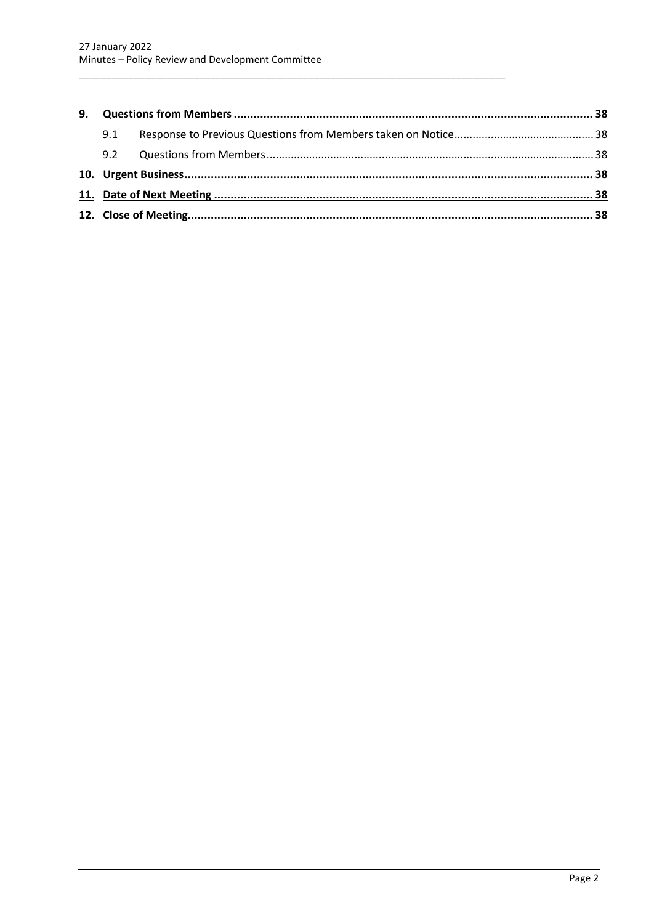| 9. |     |  |  |
|----|-----|--|--|
|    | 9.1 |  |  |
|    | 9.2 |  |  |
|    |     |  |  |
|    |     |  |  |
|    |     |  |  |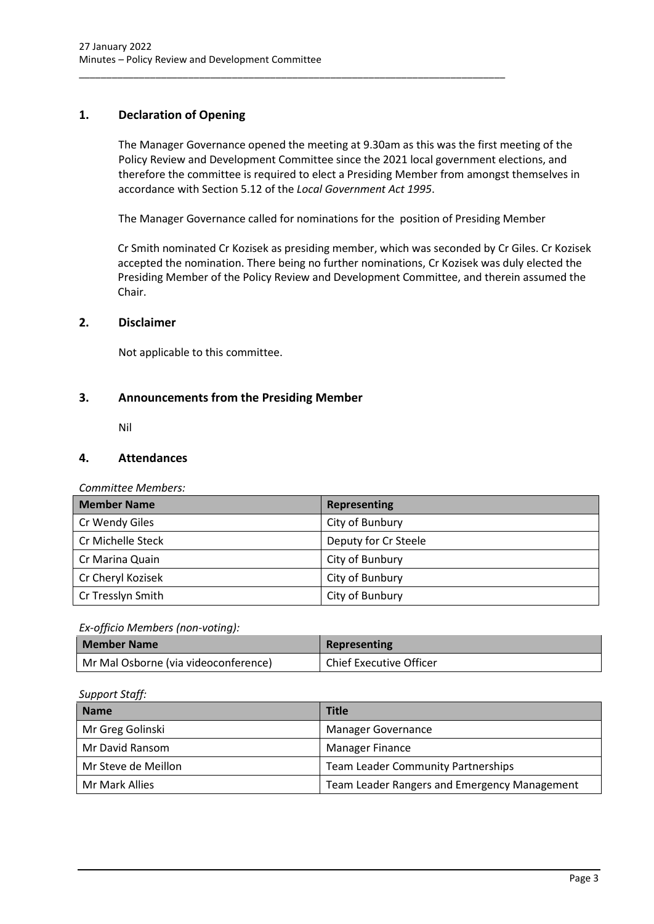### <span id="page-3-0"></span>**1. Declaration of Opening**

The Manager Governance opened the meeting at 9.30am as this was the first meeting of the Policy Review and Development Committee since the 2021 local government elections, and therefore the committee is required to elect a Presiding Member from amongst themselves in accordance with Section 5.12 of the *Local Government Act 1995*.

The Manager Governance called for nominations for the position of Presiding Member

\_\_\_\_\_\_\_\_\_\_\_\_\_\_\_\_\_\_\_\_\_\_\_\_\_\_\_\_\_\_\_\_\_\_\_\_\_\_\_\_\_\_\_\_\_\_\_\_\_\_\_\_\_\_\_\_\_\_\_\_\_\_\_\_\_\_\_\_\_\_\_\_\_\_\_\_\_\_

Cr Smith nominated Cr Kozisek as presiding member, which was seconded by Cr Giles. Cr Kozisek accepted the nomination. There being no further nominations, Cr Kozisek was duly elected the Presiding Member of the Policy Review and Development Committee, and therein assumed the Chair.

### <span id="page-3-1"></span>**2. Disclaimer**

Not applicable to this committee.

### <span id="page-3-2"></span>**3. Announcements from the Presiding Member**

Nil

### <span id="page-3-3"></span>**4. Attendances**

*Committee Members:*

| <b>Member Name</b> | Representing         |
|--------------------|----------------------|
| Cr Wendy Giles     | City of Bunbury      |
| Cr Michelle Steck  | Deputy for Cr Steele |
| Cr Marina Quain    | City of Bunbury      |
| Cr Cheryl Kozisek  | City of Bunbury      |
| Cr Tresslyn Smith  | City of Bunbury      |

### *Ex-officio Members (non-voting):*

| Member Name                          | Representing                   |
|--------------------------------------|--------------------------------|
| Mr Mal Osborne (via videoconference) | <b>Chief Executive Officer</b> |

### *Support Staff:*

| <b>Name</b>         | <b>Title</b>                                 |  |  |
|---------------------|----------------------------------------------|--|--|
| Mr Greg Golinski    | Manager Governance                           |  |  |
| Mr David Ransom     | <b>Manager Finance</b>                       |  |  |
| Mr Steve de Meillon | <b>Team Leader Community Partnerships</b>    |  |  |
| Mr Mark Allies      | Team Leader Rangers and Emergency Management |  |  |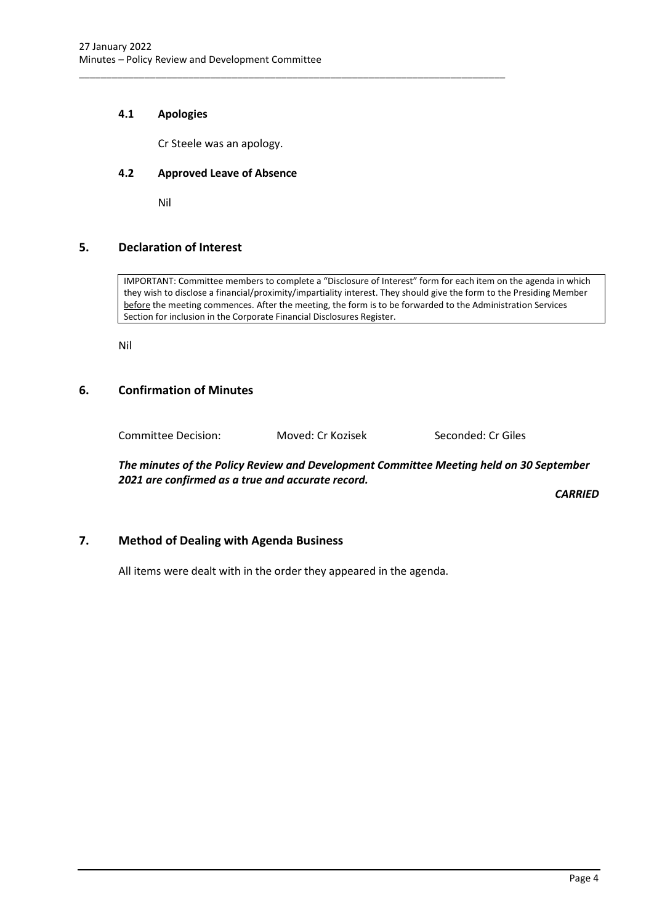### **4.1 Apologies**

Cr Steele was an apology.

<span id="page-4-0"></span>\_\_\_\_\_\_\_\_\_\_\_\_\_\_\_\_\_\_\_\_\_\_\_\_\_\_\_\_\_\_\_\_\_\_\_\_\_\_\_\_\_\_\_\_\_\_\_\_\_\_\_\_\_\_\_\_\_\_\_\_\_\_\_\_\_\_\_\_\_\_\_\_\_\_\_\_\_\_

### <span id="page-4-1"></span>**4.2 Approved Leave of Absence**

Nil

### <span id="page-4-2"></span>**5. Declaration of Interest**

IMPORTANT: Committee members to complete a "Disclosure of Interest" form for each item on the agenda in which they wish to disclose a financial/proximity/impartiality interest. They should give the form to the Presiding Member before the meeting commences. After the meeting, the form is to be forwarded to the Administration Services Section for inclusion in the Corporate Financial Disclosures Register.

Nil

### <span id="page-4-3"></span>**6. Confirmation of Minutes**

Committee Decision: Moved: Cr Kozisek Seconded: Cr Giles

*The minutes of the Policy Review and Development Committee Meeting held on 30 September 2021 are confirmed as a true and accurate record.*

*CARRIED*

### <span id="page-4-4"></span>**7. Method of Dealing with Agenda Business**

All items were dealt with in the order they appeared in the agenda.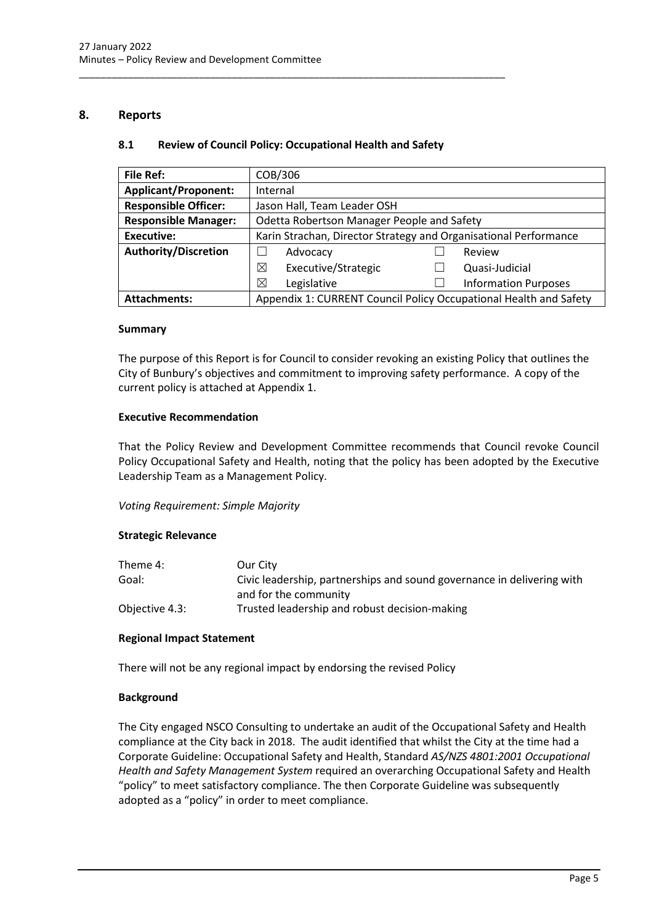### <span id="page-5-1"></span><span id="page-5-0"></span>**8. Reports**

### **8.1 Review of Council Policy: Occupational Health and Safety**

\_\_\_\_\_\_\_\_\_\_\_\_\_\_\_\_\_\_\_\_\_\_\_\_\_\_\_\_\_\_\_\_\_\_\_\_\_\_\_\_\_\_\_\_\_\_\_\_\_\_\_\_\_\_\_\_\_\_\_\_\_\_\_\_\_\_\_\_\_\_\_\_\_\_\_\_\_\_

| <b>File Ref:</b>            | COB/306                                                           |  |                             |  |
|-----------------------------|-------------------------------------------------------------------|--|-----------------------------|--|
| <b>Applicant/Proponent:</b> | Internal                                                          |  |                             |  |
| <b>Responsible Officer:</b> | Jason Hall, Team Leader OSH                                       |  |                             |  |
| <b>Responsible Manager:</b> | Odetta Robertson Manager People and Safety                        |  |                             |  |
| <b>Executive:</b>           | Karin Strachan, Director Strategy and Organisational Performance  |  |                             |  |
| <b>Authority/Discretion</b> | Advocacy<br>Review                                                |  |                             |  |
|                             | ⊠<br>Executive/Strategic                                          |  | Quasi-Judicial              |  |
|                             | ⊠<br>Legislative                                                  |  | <b>Information Purposes</b> |  |
| <b>Attachments:</b>         | Appendix 1: CURRENT Council Policy Occupational Health and Safety |  |                             |  |

### **Summary**

The purpose of this Report is for Council to consider revoking an existing Policy that outlines the City of Bunbury's objectives and commitment to improving safety performance. A copy of the current policy is attached at Appendix 1.

### **Executive Recommendation**

That the Policy Review and Development Committee recommends that Council revoke Council Policy Occupational Safety and Health, noting that the policy has been adopted by the Executive Leadership Team as a Management Policy.

### *Voting Requirement: Simple Majority*

### **Strategic Relevance**

| Theme 4:       | Our City                                                               |
|----------------|------------------------------------------------------------------------|
| Goal:          | Civic leadership, partnerships and sound governance in delivering with |
|                | and for the community                                                  |
| Objective 4.3: | Trusted leadership and robust decision-making                          |

### **Regional Impact Statement**

There will not be any regional impact by endorsing the revised Policy

### **Background**

The City engaged NSCO Consulting to undertake an audit of the Occupational Safety and Health compliance at the City back in 2018. The audit identified that whilst the City at the time had a Corporate Guideline: Occupational Safety and Health, Standard *AS/NZS 4801:2001 Occupational Health and Safety Management System* required an overarching Occupational Safety and Health "policy" to meet satisfactory compliance. The then Corporate Guideline was subsequently adopted as a "policy" in order to meet compliance.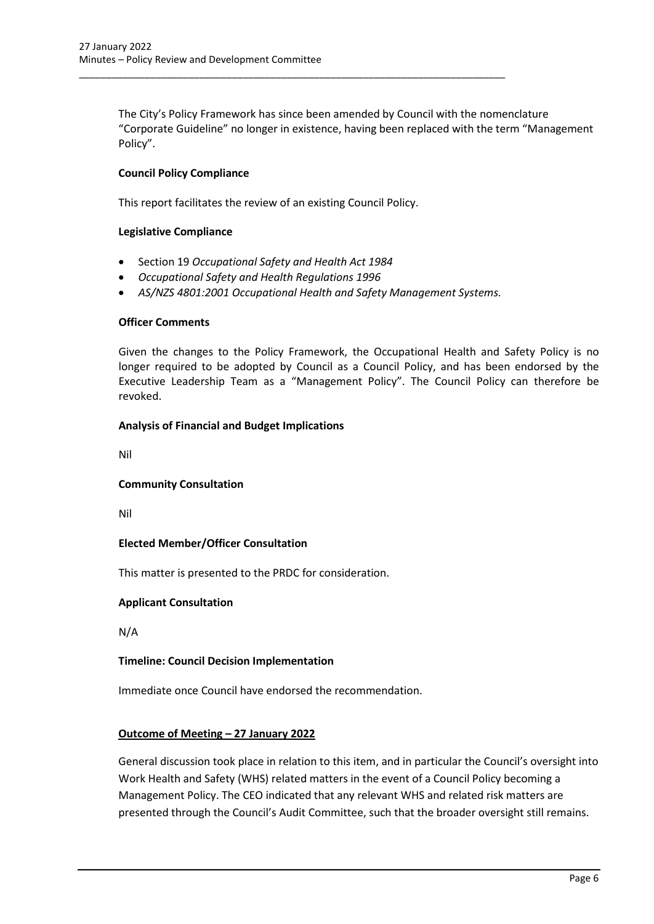The City's Policy Framework has since been amended by Council with the nomenclature "Corporate Guideline" no longer in existence, having been replaced with the term "Management Policy".

### **Council Policy Compliance**

This report facilitates the review of an existing Council Policy.

\_\_\_\_\_\_\_\_\_\_\_\_\_\_\_\_\_\_\_\_\_\_\_\_\_\_\_\_\_\_\_\_\_\_\_\_\_\_\_\_\_\_\_\_\_\_\_\_\_\_\_\_\_\_\_\_\_\_\_\_\_\_\_\_\_\_\_\_\_\_\_\_\_\_\_\_\_\_

### **Legislative Compliance**

- Section 19 *Occupational Safety and Health Act 1984*
- *Occupational Safety and Health Regulations 1996*
- *AS/NZS 4801:2001 Occupational Health and Safety Management Systems.*

### **Officer Comments**

Given the changes to the Policy Framework, the Occupational Health and Safety Policy is no longer required to be adopted by Council as a Council Policy, and has been endorsed by the Executive Leadership Team as a "Management Policy". The Council Policy can therefore be revoked.

### **Analysis of Financial and Budget Implications**

Nil

### **Community Consultation**

Nil

### **Elected Member/Officer Consultation**

This matter is presented to the PRDC for consideration.

### **Applicant Consultation**

N/A

### **Timeline: Council Decision Implementation**

Immediate once Council have endorsed the recommendation.

### **Outcome of Meeting – 27 January 2022**

General discussion took place in relation to this item, and in particular the Council's oversight into Work Health and Safety (WHS) related matters in the event of a Council Policy becoming a Management Policy. The CEO indicated that any relevant WHS and related risk matters are presented through the Council's Audit Committee, such that the broader oversight still remains.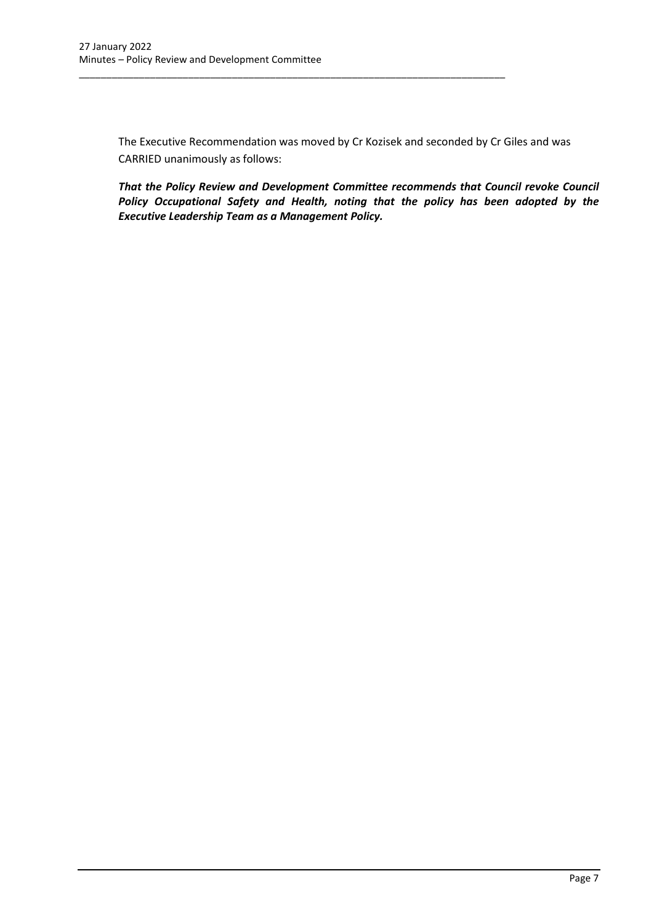The Executive Recommendation was moved by Cr Kozisek and seconded by Cr Giles and was CARRIED unanimously as follows:

\_\_\_\_\_\_\_\_\_\_\_\_\_\_\_\_\_\_\_\_\_\_\_\_\_\_\_\_\_\_\_\_\_\_\_\_\_\_\_\_\_\_\_\_\_\_\_\_\_\_\_\_\_\_\_\_\_\_\_\_\_\_\_\_\_\_\_\_\_\_\_\_\_\_\_\_\_\_

*That the Policy Review and Development Committee recommends that Council revoke Council Policy Occupational Safety and Health, noting that the policy has been adopted by the Executive Leadership Team as a Management Policy.*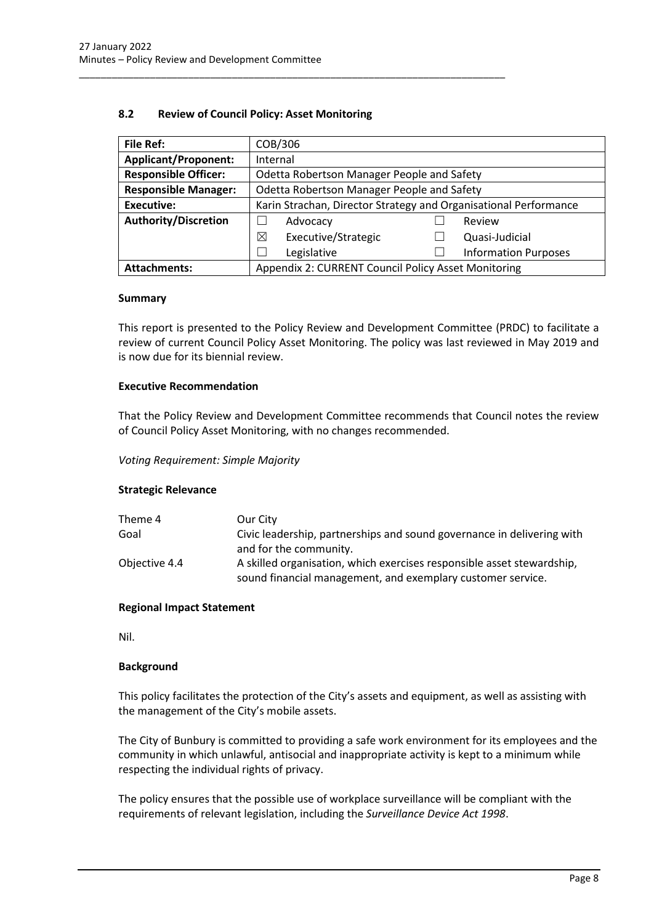### **8.2 Review of Council Policy: Asset Monitoring**

<span id="page-8-0"></span>\_\_\_\_\_\_\_\_\_\_\_\_\_\_\_\_\_\_\_\_\_\_\_\_\_\_\_\_\_\_\_\_\_\_\_\_\_\_\_\_\_\_\_\_\_\_\_\_\_\_\_\_\_\_\_\_\_\_\_\_\_\_\_\_\_\_\_\_\_\_\_\_\_\_\_\_\_\_

| <b>File Ref:</b>                                                           | COB/306                                                          |  |                             |  |
|----------------------------------------------------------------------------|------------------------------------------------------------------|--|-----------------------------|--|
| <b>Applicant/Proponent:</b>                                                | Internal                                                         |  |                             |  |
| <b>Responsible Officer:</b>                                                | Odetta Robertson Manager People and Safety                       |  |                             |  |
| <b>Responsible Manager:</b>                                                | Odetta Robertson Manager People and Safety                       |  |                             |  |
| <b>Executive:</b>                                                          | Karin Strachan, Director Strategy and Organisational Performance |  |                             |  |
| <b>Authority/Discretion</b>                                                | Advocacy<br>Review                                               |  |                             |  |
|                                                                            | ⊠<br>Executive/Strategic                                         |  | Quasi-Judicial              |  |
|                                                                            | Legislative                                                      |  | <b>Information Purposes</b> |  |
| Appendix 2: CURRENT Council Policy Asset Monitoring<br><b>Attachments:</b> |                                                                  |  |                             |  |

### **Summary**

This report is presented to the Policy Review and Development Committee (PRDC) to facilitate a review of current Council Policy Asset Monitoring. The policy was last reviewed in May 2019 and is now due for its biennial review.

### **Executive Recommendation**

That the Policy Review and Development Committee recommends that Council notes the review of Council Policy Asset Monitoring, with no changes recommended.

### *Voting Requirement: Simple Majority*

### **Strategic Relevance**

| Theme 4       | Our City                                                               |
|---------------|------------------------------------------------------------------------|
| Goal          | Civic leadership, partnerships and sound governance in delivering with |
|               | and for the community.                                                 |
| Objective 4.4 | A skilled organisation, which exercises responsible asset stewardship, |
|               | sound financial management, and exemplary customer service.            |

### **Regional Impact Statement**

Nil.

### **Background**

This policy facilitates the protection of the City's assets and equipment, as well as assisting with the management of the City's mobile assets.

The City of Bunbury is committed to providing a safe work environment for its employees and the community in which unlawful, antisocial and inappropriate activity is kept to a minimum while respecting the individual rights of privacy.

The policy ensures that the possible use of workplace surveillance will be compliant with the requirements of relevant legislation, including the *Surveillance Device Act 1998*.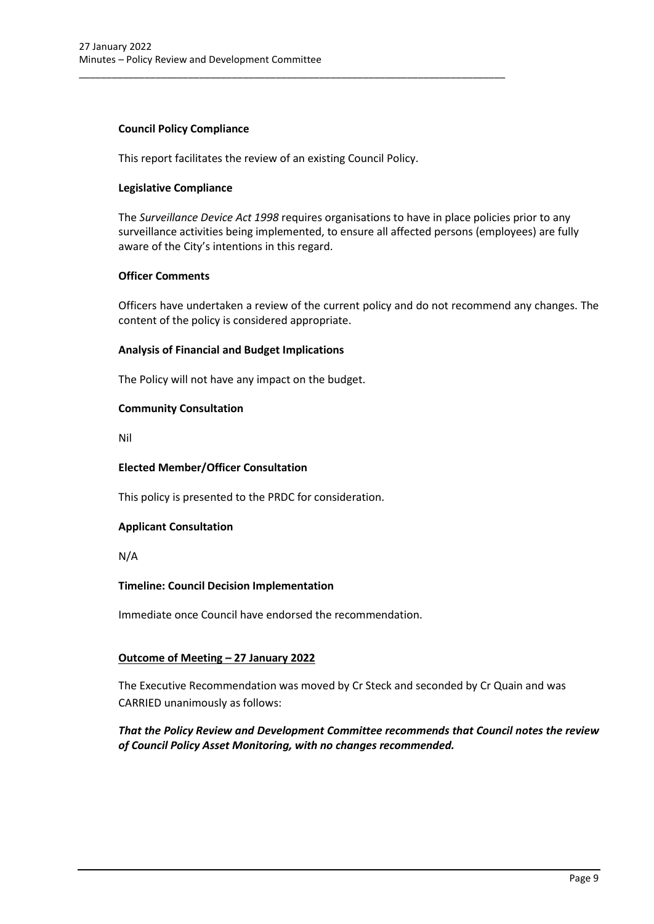### **Council Policy Compliance**

This report facilitates the review of an existing Council Policy.

\_\_\_\_\_\_\_\_\_\_\_\_\_\_\_\_\_\_\_\_\_\_\_\_\_\_\_\_\_\_\_\_\_\_\_\_\_\_\_\_\_\_\_\_\_\_\_\_\_\_\_\_\_\_\_\_\_\_\_\_\_\_\_\_\_\_\_\_\_\_\_\_\_\_\_\_\_\_

### **Legislative Compliance**

The *Surveillance Device Act 1998* requires organisations to have in place policies prior to any surveillance activities being implemented, to ensure all affected persons (employees) are fully aware of the City's intentions in this regard.

### **Officer Comments**

Officers have undertaken a review of the current policy and do not recommend any changes. The content of the policy is considered appropriate.

### **Analysis of Financial and Budget Implications**

The Policy will not have any impact on the budget.

### **Community Consultation**

Nil

### **Elected Member/Officer Consultation**

This policy is presented to the PRDC for consideration.

### **Applicant Consultation**

N/A

### **Timeline: Council Decision Implementation**

Immediate once Council have endorsed the recommendation.

### **Outcome of Meeting – 27 January 2022**

The Executive Recommendation was moved by Cr Steck and seconded by Cr Quain and was CARRIED unanimously as follows:

### <span id="page-9-0"></span>*That the Policy Review and Development Committee recommends that Council notes the review of Council Policy Asset Monitoring, with no changes recommended.*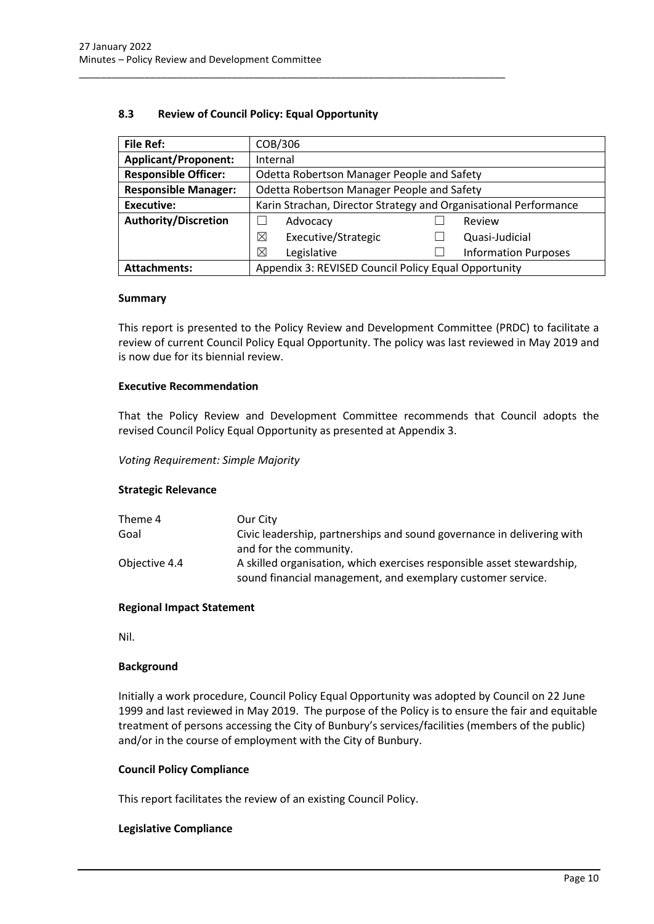### **8.3 Review of Council Policy: Equal Opportunity**

\_\_\_\_\_\_\_\_\_\_\_\_\_\_\_\_\_\_\_\_\_\_\_\_\_\_\_\_\_\_\_\_\_\_\_\_\_\_\_\_\_\_\_\_\_\_\_\_\_\_\_\_\_\_\_\_\_\_\_\_\_\_\_\_\_\_\_\_\_\_\_\_\_\_\_\_\_\_

| <b>File Ref:</b>            | COB/306                                                          |  |                             |
|-----------------------------|------------------------------------------------------------------|--|-----------------------------|
| <b>Applicant/Proponent:</b> | Internal                                                         |  |                             |
| <b>Responsible Officer:</b> | Odetta Robertson Manager People and Safety                       |  |                             |
| <b>Responsible Manager:</b> | Odetta Robertson Manager People and Safety                       |  |                             |
| <b>Executive:</b>           | Karin Strachan, Director Strategy and Organisational Performance |  |                             |
| <b>Authority/Discretion</b> | Advocacy<br>Review                                               |  |                             |
|                             | Executive/Strategic<br>⊠                                         |  | Quasi-Judicial              |
|                             | ⊠<br>Legislative                                                 |  | <b>Information Purposes</b> |
| <b>Attachments:</b>         | Appendix 3: REVISED Council Policy Equal Opportunity             |  |                             |

#### **Summary**

This report is presented to the Policy Review and Development Committee (PRDC) to facilitate a review of current Council Policy Equal Opportunity. The policy was last reviewed in May 2019 and is now due for its biennial review.

### **Executive Recommendation**

That the Policy Review and Development Committee recommends that Council adopts the revised Council Policy Equal Opportunity as presented at Appendix 3.

#### *Voting Requirement: Simple Majority*

#### **Strategic Relevance**

| Theme 4       | Our City                                                               |
|---------------|------------------------------------------------------------------------|
| Goal          | Civic leadership, partnerships and sound governance in delivering with |
|               | and for the community.                                                 |
| Objective 4.4 | A skilled organisation, which exercises responsible asset stewardship, |
|               | sound financial management, and exemplary customer service.            |

#### **Regional Impact Statement**

Nil.

#### **Background**

Initially a work procedure, Council Policy Equal Opportunity was adopted by Council on 22 June 1999 and last reviewed in May 2019. The purpose of the Policy is to ensure the fair and equitable treatment of persons accessing the City of Bunbury's services/facilities (members of the public) and/or in the course of employment with the City of Bunbury.

### **Council Policy Compliance**

This report facilitates the review of an existing Council Policy.

### **Legislative Compliance**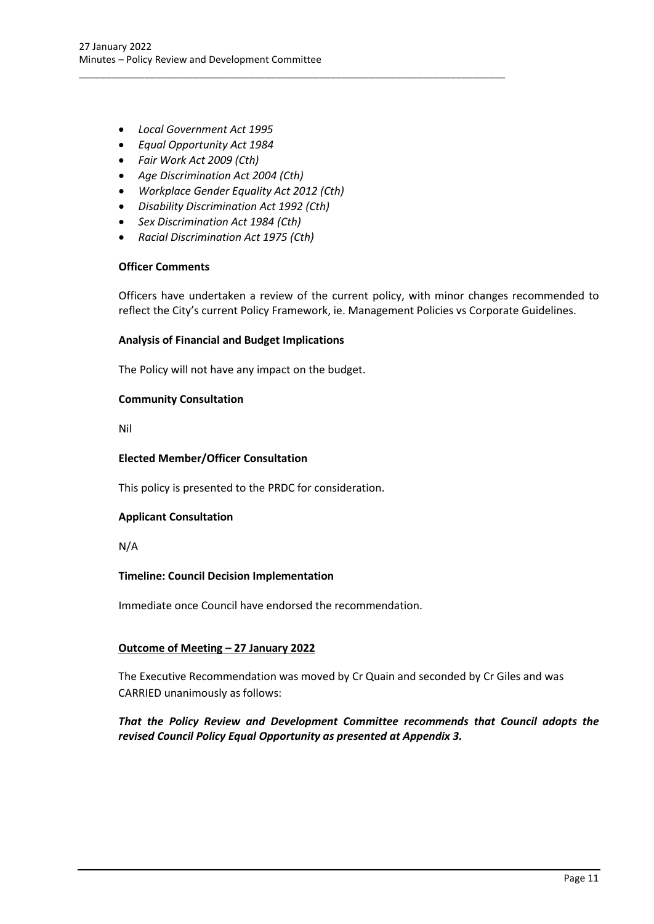- *Local Government Act 1995*
- *Equal Opportunity Act 1984*
- *Fair Work Act 2009 (Cth)*
- *Age Discrimination Act 2004 (Cth)*
- *Workplace Gender Equality Act 2012 (Cth)*

\_\_\_\_\_\_\_\_\_\_\_\_\_\_\_\_\_\_\_\_\_\_\_\_\_\_\_\_\_\_\_\_\_\_\_\_\_\_\_\_\_\_\_\_\_\_\_\_\_\_\_\_\_\_\_\_\_\_\_\_\_\_\_\_\_\_\_\_\_\_\_\_\_\_\_\_\_\_

- *Disability Discrimination Act 1992 (Cth)*
- *Sex Discrimination Act 1984 (Cth)*
- *Racial Discrimination Act 1975 (Cth)*

#### **Officer Comments**

Officers have undertaken a review of the current policy, with minor changes recommended to reflect the City's current Policy Framework, ie. Management Policies vs Corporate Guidelines.

### **Analysis of Financial and Budget Implications**

The Policy will not have any impact on the budget.

### **Community Consultation**

Nil

### **Elected Member/Officer Consultation**

This policy is presented to the PRDC for consideration.

### **Applicant Consultation**

N/A

### **Timeline: Council Decision Implementation**

Immediate once Council have endorsed the recommendation.

### **Outcome of Meeting – 27 January 2022**

The Executive Recommendation was moved by Cr Quain and seconded by Cr Giles and was CARRIED unanimously as follows:

### *That the Policy Review and Development Committee recommends that Council adopts the revised Council Policy Equal Opportunity as presented at Appendix 3.*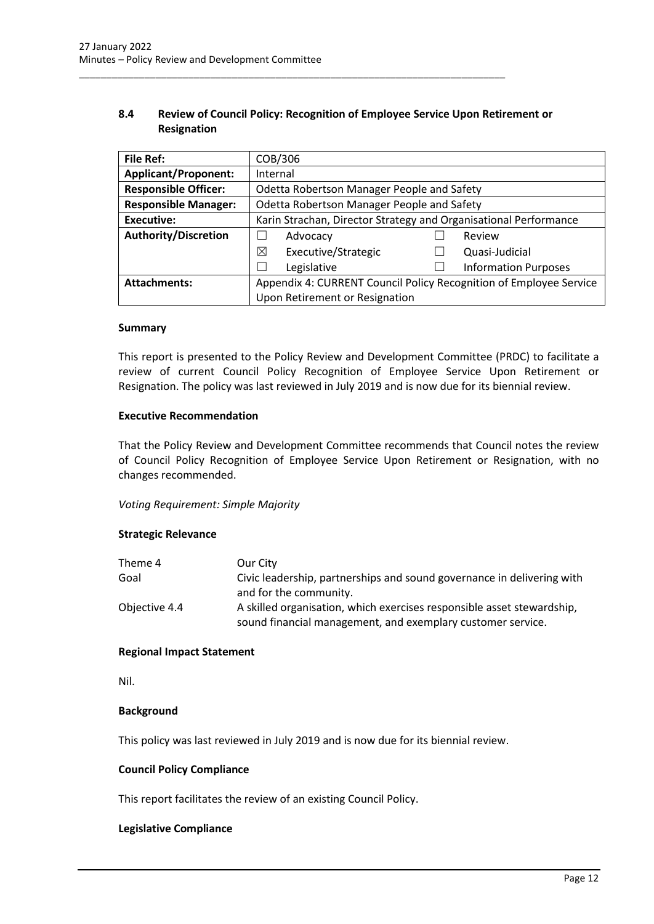### **8.4 Review of Council Policy: Recognition of Employee Service Upon Retirement or Resignation**

<span id="page-12-0"></span>\_\_\_\_\_\_\_\_\_\_\_\_\_\_\_\_\_\_\_\_\_\_\_\_\_\_\_\_\_\_\_\_\_\_\_\_\_\_\_\_\_\_\_\_\_\_\_\_\_\_\_\_\_\_\_\_\_\_\_\_\_\_\_\_\_\_\_\_\_\_\_\_\_\_\_\_\_\_

| <b>File Ref:</b>            | COB/306                                                            |  |                             |  |
|-----------------------------|--------------------------------------------------------------------|--|-----------------------------|--|
| <b>Applicant/Proponent:</b> | Internal                                                           |  |                             |  |
| <b>Responsible Officer:</b> | Odetta Robertson Manager People and Safety                         |  |                             |  |
| <b>Responsible Manager:</b> | Odetta Robertson Manager People and Safety                         |  |                             |  |
| Executive:                  | Karin Strachan, Director Strategy and Organisational Performance   |  |                             |  |
| <b>Authority/Discretion</b> | Advocacy                                                           |  | Review                      |  |
|                             | ⊠<br>Executive/Strategic                                           |  | Quasi-Judicial              |  |
|                             | Legislative                                                        |  | <b>Information Purposes</b> |  |
| <b>Attachments:</b>         | Appendix 4: CURRENT Council Policy Recognition of Employee Service |  |                             |  |
|                             | Upon Retirement or Resignation                                     |  |                             |  |

### **Summary**

This report is presented to the Policy Review and Development Committee (PRDC) to facilitate a review of current Council Policy Recognition of Employee Service Upon Retirement or Resignation. The policy was last reviewed in July 2019 and is now due for its biennial review.

#### **Executive Recommendation**

That the Policy Review and Development Committee recommends that Council notes the review of Council Policy Recognition of Employee Service Upon Retirement or Resignation, with no changes recommended.

### *Voting Requirement: Simple Majority*

### **Strategic Relevance**

| Theme 4       | Our City                                                               |
|---------------|------------------------------------------------------------------------|
| Goal          | Civic leadership, partnerships and sound governance in delivering with |
|               | and for the community.                                                 |
| Objective 4.4 | A skilled organisation, which exercises responsible asset stewardship, |
|               | sound financial management, and exemplary customer service.            |

#### **Regional Impact Statement**

Nil.

#### **Background**

This policy was last reviewed in July 2019 and is now due for its biennial review.

#### **Council Policy Compliance**

This report facilitates the review of an existing Council Policy.

#### **Legislative Compliance**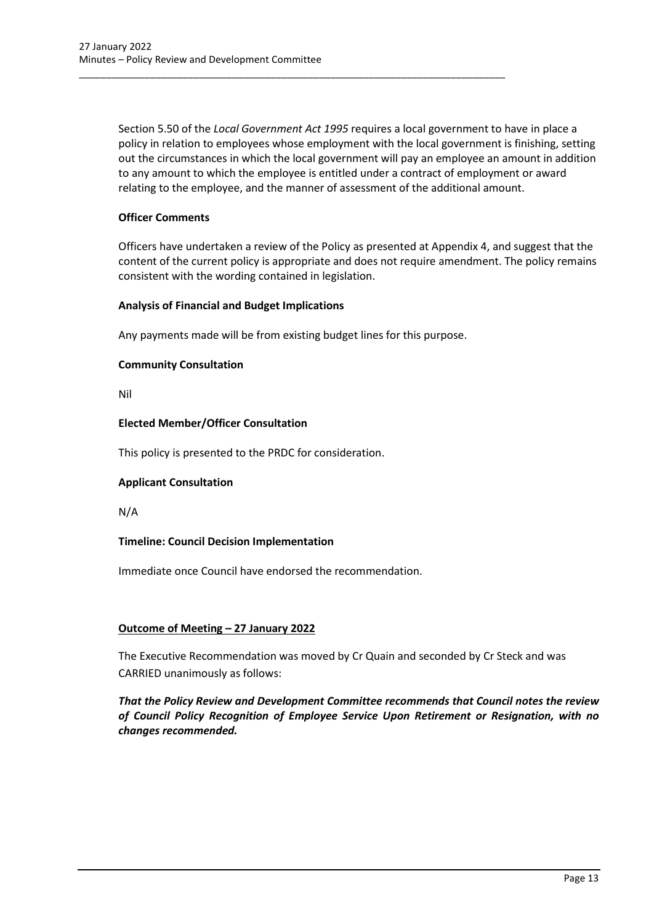Section 5.50 of the *Local Government Act 1995* requires a local government to have in place a policy in relation to employees whose employment with the local government is finishing, setting out the circumstances in which the local government will pay an employee an amount in addition to any amount to which the employee is entitled under a contract of employment or award relating to the employee, and the manner of assessment of the additional amount.

### **Officer Comments**

Officers have undertaken a review of the Policy as presented at Appendix 4, and suggest that the content of the current policy is appropriate and does not require amendment. The policy remains consistent with the wording contained in legislation.

### **Analysis of Financial and Budget Implications**

Any payments made will be from existing budget lines for this purpose.

\_\_\_\_\_\_\_\_\_\_\_\_\_\_\_\_\_\_\_\_\_\_\_\_\_\_\_\_\_\_\_\_\_\_\_\_\_\_\_\_\_\_\_\_\_\_\_\_\_\_\_\_\_\_\_\_\_\_\_\_\_\_\_\_\_\_\_\_\_\_\_\_\_\_\_\_\_\_

### **Community Consultation**

Nil

### **Elected Member/Officer Consultation**

This policy is presented to the PRDC for consideration.

### **Applicant Consultation**

N/A

### **Timeline: Council Decision Implementation**

Immediate once Council have endorsed the recommendation.

### **Outcome of Meeting – 27 January 2022**

The Executive Recommendation was moved by Cr Quain and seconded by Cr Steck and was CARRIED unanimously as follows:

*That the Policy Review and Development Committee recommends that Council notes the review of Council Policy Recognition of Employee Service Upon Retirement or Resignation, with no changes recommended.*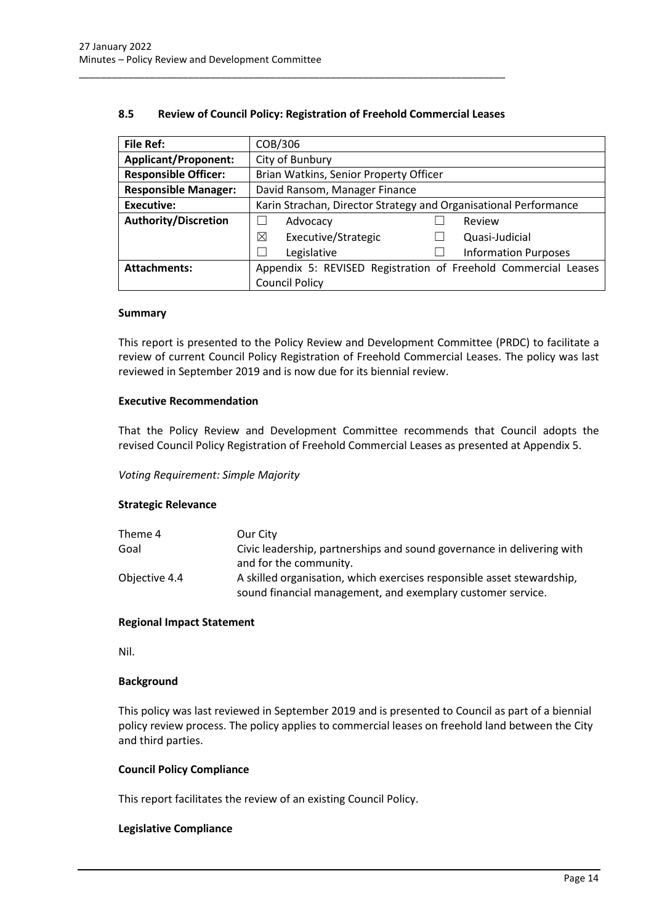| <b>File Ref:</b>            | COB/306                                                          |  |                             |  |
|-----------------------------|------------------------------------------------------------------|--|-----------------------------|--|
| <b>Applicant/Proponent:</b> | City of Bunbury                                                  |  |                             |  |
| <b>Responsible Officer:</b> | Brian Watkins, Senior Property Officer                           |  |                             |  |
| <b>Responsible Manager:</b> | David Ransom, Manager Finance                                    |  |                             |  |
| <b>Executive:</b>           | Karin Strachan, Director Strategy and Organisational Performance |  |                             |  |
| <b>Authority/Discretion</b> | Advocacy                                                         |  | Review                      |  |
|                             | ⊠<br>Executive/Strategic                                         |  | Quasi-Judicial              |  |
|                             | Legislative                                                      |  | <b>Information Purposes</b> |  |
| <b>Attachments:</b>         | Appendix 5: REVISED Registration of Freehold Commercial Leases   |  |                             |  |
|                             | <b>Council Policy</b>                                            |  |                             |  |

### **8.5 Review of Council Policy: Registration of Freehold Commercial Leases**

<span id="page-14-0"></span>\_\_\_\_\_\_\_\_\_\_\_\_\_\_\_\_\_\_\_\_\_\_\_\_\_\_\_\_\_\_\_\_\_\_\_\_\_\_\_\_\_\_\_\_\_\_\_\_\_\_\_\_\_\_\_\_\_\_\_\_\_\_\_\_\_\_\_\_\_\_\_\_\_\_\_\_\_\_

#### **Summary**

This report is presented to the Policy Review and Development Committee (PRDC) to facilitate a review of current Council Policy Registration of Freehold Commercial Leases. The policy was last reviewed in September 2019 and is now due for its biennial review.

### **Executive Recommendation**

That the Policy Review and Development Committee recommends that Council adopts the revised Council Policy Registration of Freehold Commercial Leases as presented at Appendix 5.

### *Voting Requirement: Simple Majority*

### **Strategic Relevance**

| Theme 4       | Our City                                                               |
|---------------|------------------------------------------------------------------------|
| Goal          | Civic leadership, partnerships and sound governance in delivering with |
|               | and for the community.                                                 |
| Objective 4.4 | A skilled organisation, which exercises responsible asset stewardship, |
|               | sound financial management, and exemplary customer service.            |

#### **Regional Impact Statement**

Nil.

#### **Background**

This policy was last reviewed in September 2019 and is presented to Council as part of a biennial policy review process. The policy applies to commercial leases on freehold land between the City and third parties.

#### **Council Policy Compliance**

This report facilitates the review of an existing Council Policy.

#### **Legislative Compliance**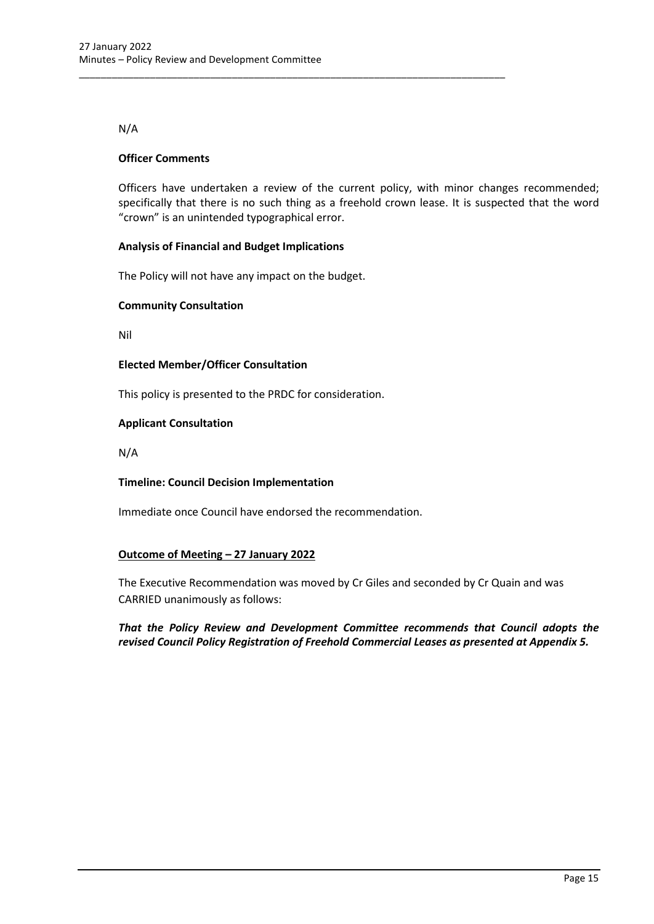### N/A

### **Officer Comments**

Officers have undertaken a review of the current policy, with minor changes recommended; specifically that there is no such thing as a freehold crown lease. It is suspected that the word "crown" is an unintended typographical error.

### **Analysis of Financial and Budget Implications**

The Policy will not have any impact on the budget.

\_\_\_\_\_\_\_\_\_\_\_\_\_\_\_\_\_\_\_\_\_\_\_\_\_\_\_\_\_\_\_\_\_\_\_\_\_\_\_\_\_\_\_\_\_\_\_\_\_\_\_\_\_\_\_\_\_\_\_\_\_\_\_\_\_\_\_\_\_\_\_\_\_\_\_\_\_\_

### **Community Consultation**

Nil

### **Elected Member/Officer Consultation**

This policy is presented to the PRDC for consideration.

### **Applicant Consultation**

N/A

### **Timeline: Council Decision Implementation**

Immediate once Council have endorsed the recommendation.

### **Outcome of Meeting – 27 January 2022**

The Executive Recommendation was moved by Cr Giles and seconded by Cr Quain and was CARRIED unanimously as follows:

### *That the Policy Review and Development Committee recommends that Council adopts the revised Council Policy Registration of Freehold Commercial Leases as presented at Appendix 5.*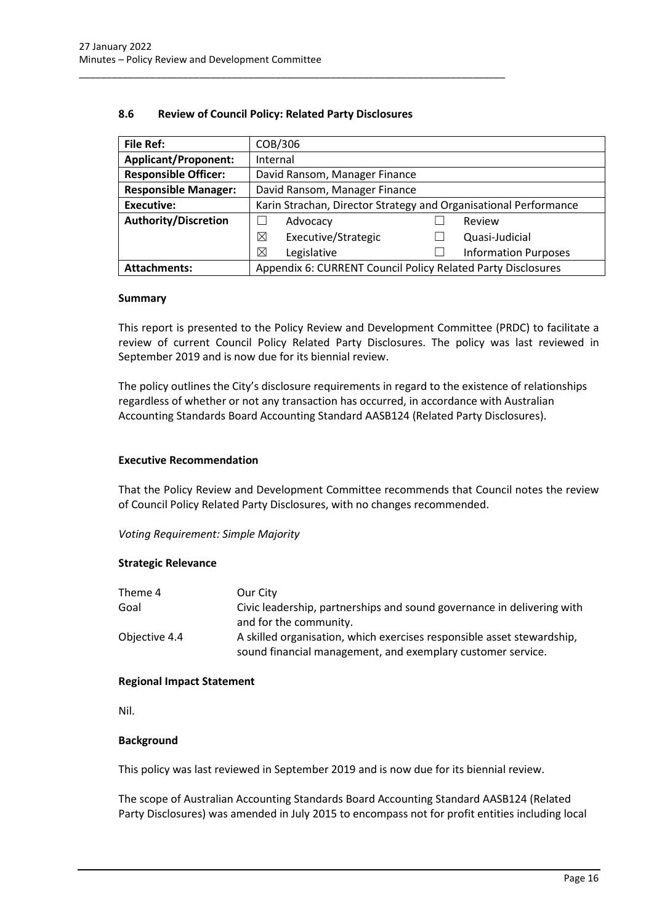| <b>File Ref:</b>            | COB/306                                                          |  |                             |  |
|-----------------------------|------------------------------------------------------------------|--|-----------------------------|--|
| <b>Applicant/Proponent:</b> | Internal                                                         |  |                             |  |
| <b>Responsible Officer:</b> | David Ransom, Manager Finance                                    |  |                             |  |
| <b>Responsible Manager:</b> | David Ransom, Manager Finance                                    |  |                             |  |
| <b>Executive:</b>           | Karin Strachan, Director Strategy and Organisational Performance |  |                             |  |
| <b>Authority/Discretion</b> | Advocacy                                                         |  | Review                      |  |
|                             | ⊠<br>Executive/Strategic                                         |  | Quasi-Judicial              |  |
|                             | ⊠<br>Legislative                                                 |  | <b>Information Purposes</b> |  |
| <b>Attachments:</b>         | Appendix 6: CURRENT Council Policy Related Party Disclosures     |  |                             |  |

### **8.6 Review of Council Policy: Related Party Disclosures**

<span id="page-16-0"></span>\_\_\_\_\_\_\_\_\_\_\_\_\_\_\_\_\_\_\_\_\_\_\_\_\_\_\_\_\_\_\_\_\_\_\_\_\_\_\_\_\_\_\_\_\_\_\_\_\_\_\_\_\_\_\_\_\_\_\_\_\_\_\_\_\_\_\_\_\_\_\_\_\_\_\_\_\_\_

#### **Summary**

This report is presented to the Policy Review and Development Committee (PRDC) to facilitate a review of current Council Policy Related Party Disclosures. The policy was last reviewed in September 2019 and is now due for its biennial review.

The policy outlines the City's disclosure requirements in regard to the existence of relationships regardless of whether or not any transaction has occurred, in accordance with Australian Accounting Standards Board Accounting Standard AASB124 (Related Party Disclosures).

### **Executive Recommendation**

That the Policy Review and Development Committee recommends that Council notes the review of Council Policy Related Party Disclosures, with no changes recommended.

*Voting Requirement: Simple Majority*

### **Strategic Relevance**

| Our City                                                                                                                              |
|---------------------------------------------------------------------------------------------------------------------------------------|
| Civic leadership, partnerships and sound governance in delivering with                                                                |
| and for the community.                                                                                                                |
| A skilled organisation, which exercises responsible asset stewardship,<br>sound financial management, and exemplary customer service. |
|                                                                                                                                       |

### **Regional Impact Statement**

Nil.

### **Background**

This policy was last reviewed in September 2019 and is now due for its biennial review.

The scope of Australian Accounting Standards Board Accounting Standard AASB124 (Related Party Disclosures) was amended in July 2015 to encompass not for profit entities including local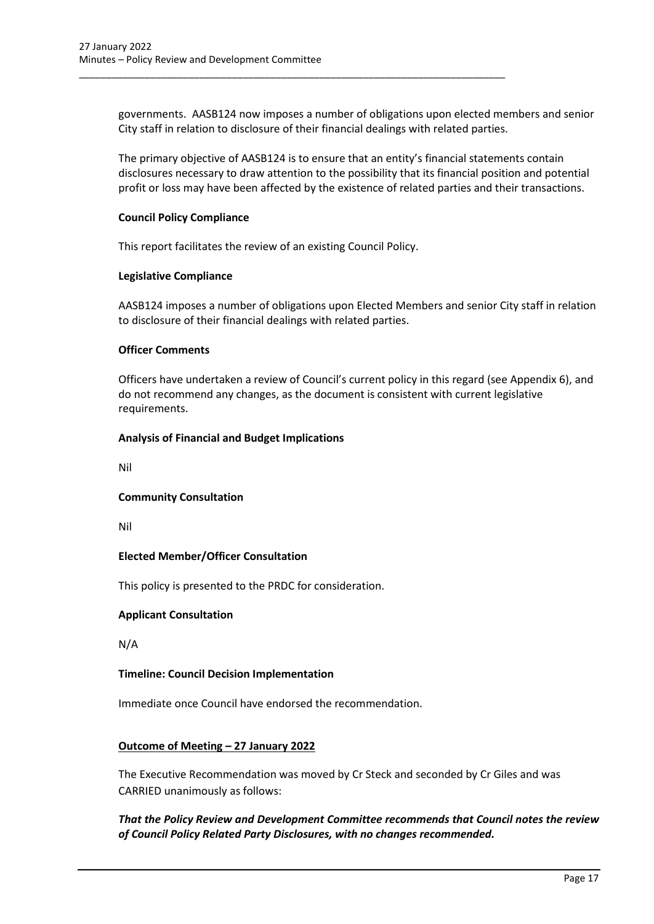governments. AASB124 now imposes a number of obligations upon elected members and senior City staff in relation to disclosure of their financial dealings with related parties.

The primary objective of AASB124 is to ensure that an entity's financial statements contain disclosures necessary to draw attention to the possibility that its financial position and potential profit or loss may have been affected by the existence of related parties and their transactions.

### **Council Policy Compliance**

This report facilitates the review of an existing Council Policy.

\_\_\_\_\_\_\_\_\_\_\_\_\_\_\_\_\_\_\_\_\_\_\_\_\_\_\_\_\_\_\_\_\_\_\_\_\_\_\_\_\_\_\_\_\_\_\_\_\_\_\_\_\_\_\_\_\_\_\_\_\_\_\_\_\_\_\_\_\_\_\_\_\_\_\_\_\_\_

### **Legislative Compliance**

AASB124 imposes a number of obligations upon Elected Members and senior City staff in relation to disclosure of their financial dealings with related parties.

### **Officer Comments**

Officers have undertaken a review of Council's current policy in this regard (see Appendix 6), and do not recommend any changes, as the document is consistent with current legislative requirements.

### **Analysis of Financial and Budget Implications**

Nil

### **Community Consultation**

Nil

### **Elected Member/Officer Consultation**

This policy is presented to the PRDC for consideration.

### **Applicant Consultation**

N/A

### **Timeline: Council Decision Implementation**

Immediate once Council have endorsed the recommendation.

### **Outcome of Meeting – 27 January 2022**

The Executive Recommendation was moved by Cr Steck and seconded by Cr Giles and was CARRIED unanimously as follows:

### <span id="page-17-0"></span>*That the Policy Review and Development Committee recommends that Council notes the review of Council Policy Related Party Disclosures, with no changes recommended.*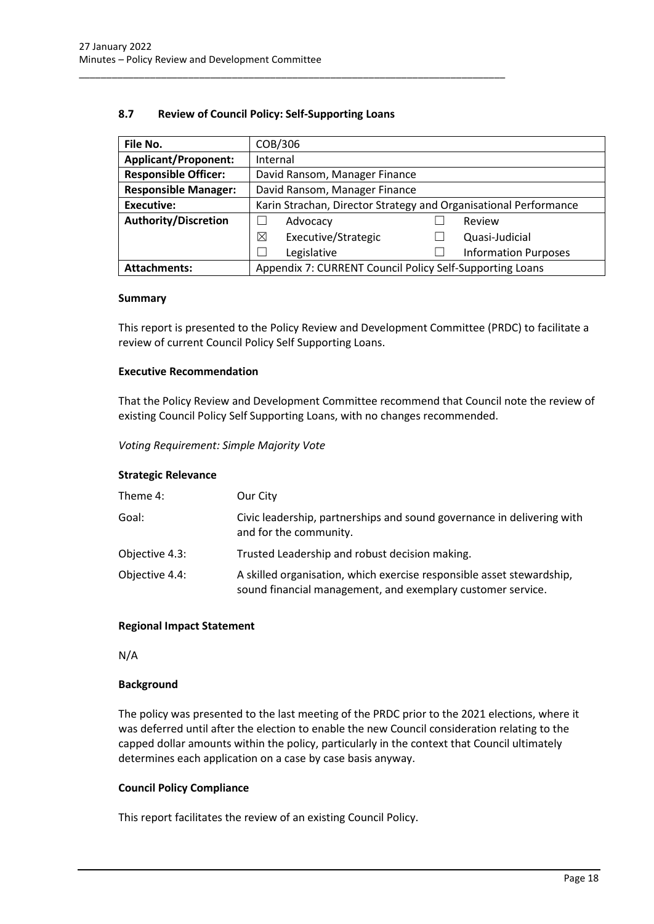### **8.7 Review of Council Policy: Self-Supporting Loans**

\_\_\_\_\_\_\_\_\_\_\_\_\_\_\_\_\_\_\_\_\_\_\_\_\_\_\_\_\_\_\_\_\_\_\_\_\_\_\_\_\_\_\_\_\_\_\_\_\_\_\_\_\_\_\_\_\_\_\_\_\_\_\_\_\_\_\_\_\_\_\_\_\_\_\_\_\_\_

| File No.                    | COB/306                                                          |  |                             |  |
|-----------------------------|------------------------------------------------------------------|--|-----------------------------|--|
| <b>Applicant/Proponent:</b> | Internal                                                         |  |                             |  |
| <b>Responsible Officer:</b> | David Ransom, Manager Finance                                    |  |                             |  |
| <b>Responsible Manager:</b> | David Ransom, Manager Finance                                    |  |                             |  |
| <b>Executive:</b>           | Karin Strachan, Director Strategy and Organisational Performance |  |                             |  |
| <b>Authority/Discretion</b> | Advocacy                                                         |  | Review                      |  |
|                             | Executive/Strategic<br>⊠                                         |  | Quasi-Judicial              |  |
|                             | Legislative                                                      |  | <b>Information Purposes</b> |  |
| <b>Attachments:</b>         | Appendix 7: CURRENT Council Policy Self-Supporting Loans         |  |                             |  |

#### **Summary**

This report is presented to the Policy Review and Development Committee (PRDC) to facilitate a review of current Council Policy Self Supporting Loans.

### **Executive Recommendation**

That the Policy Review and Development Committee recommend that Council note the review of existing Council Policy Self Supporting Loans, with no changes recommended.

*Voting Requirement: Simple Majority Vote*

### **Strategic Relevance**

| Theme 4:       | Our City                                                                                                                             |
|----------------|--------------------------------------------------------------------------------------------------------------------------------------|
| Goal:          | Civic leadership, partnerships and sound governance in delivering with<br>and for the community.                                     |
| Objective 4.3: | Trusted Leadership and robust decision making.                                                                                       |
| Objective 4.4: | A skilled organisation, which exercise responsible asset stewardship,<br>sound financial management, and exemplary customer service. |

### **Regional Impact Statement**

N/A

#### **Background**

The policy was presented to the last meeting of the PRDC prior to the 2021 elections, where it was deferred until after the election to enable the new Council consideration relating to the capped dollar amounts within the policy, particularly in the context that Council ultimately determines each application on a case by case basis anyway.

### **Council Policy Compliance**

This report facilitates the review of an existing Council Policy.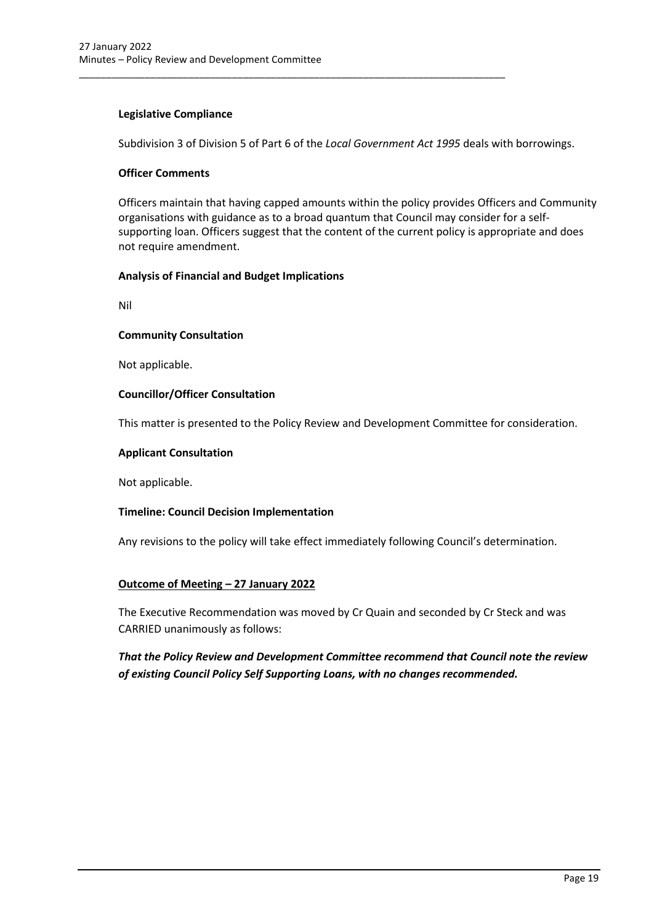### **Legislative Compliance**

Subdivision 3 of Division 5 of Part 6 of the *Local Government Act 1995* deals with borrowings.

\_\_\_\_\_\_\_\_\_\_\_\_\_\_\_\_\_\_\_\_\_\_\_\_\_\_\_\_\_\_\_\_\_\_\_\_\_\_\_\_\_\_\_\_\_\_\_\_\_\_\_\_\_\_\_\_\_\_\_\_\_\_\_\_\_\_\_\_\_\_\_\_\_\_\_\_\_\_

### **Officer Comments**

Officers maintain that having capped amounts within the policy provides Officers and Community organisations with guidance as to a broad quantum that Council may consider for a selfsupporting loan. Officers suggest that the content of the current policy is appropriate and does not require amendment.

### **Analysis of Financial and Budget Implications**

Nil

### **Community Consultation**

Not applicable.

### **Councillor/Officer Consultation**

This matter is presented to the Policy Review and Development Committee for consideration.

### **Applicant Consultation**

Not applicable.

### **Timeline: Council Decision Implementation**

Any revisions to the policy will take effect immediately following Council's determination.

### **Outcome of Meeting – 27 January 2022**

The Executive Recommendation was moved by Cr Quain and seconded by Cr Steck and was CARRIED unanimously as follows:

*That the Policy Review and Development Committee recommend that Council note the review of existing Council Policy Self Supporting Loans, with no changes recommended.*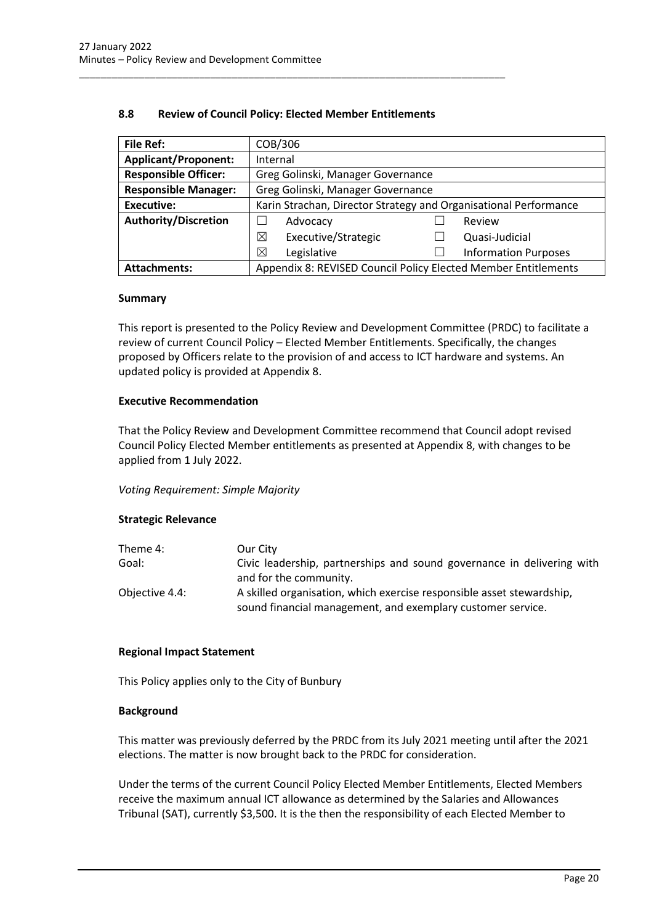| <b>File Ref:</b>            | COB/306                                                          |  |                |  |
|-----------------------------|------------------------------------------------------------------|--|----------------|--|
| <b>Applicant/Proponent:</b> | Internal                                                         |  |                |  |
| <b>Responsible Officer:</b> | Greg Golinski, Manager Governance                                |  |                |  |
| <b>Responsible Manager:</b> | Greg Golinski, Manager Governance                                |  |                |  |
| <b>Executive:</b>           | Karin Strachan, Director Strategy and Organisational Performance |  |                |  |
| <b>Authority/Discretion</b> | Advocacy                                                         |  | Review         |  |
|                             | ⊠<br>Executive/Strategic                                         |  | Quasi-Judicial |  |
|                             | ⊠<br>Legislative<br><b>Information Purposes</b>                  |  |                |  |
| <b>Attachments:</b>         | Appendix 8: REVISED Council Policy Elected Member Entitlements   |  |                |  |

### **8.8 Review of Council Policy: Elected Member Entitlements**

<span id="page-20-0"></span>\_\_\_\_\_\_\_\_\_\_\_\_\_\_\_\_\_\_\_\_\_\_\_\_\_\_\_\_\_\_\_\_\_\_\_\_\_\_\_\_\_\_\_\_\_\_\_\_\_\_\_\_\_\_\_\_\_\_\_\_\_\_\_\_\_\_\_\_\_\_\_\_\_\_\_\_\_\_

#### **Summary**

This report is presented to the Policy Review and Development Committee (PRDC) to facilitate a review of current Council Policy – Elected Member Entitlements. Specifically, the changes proposed by Officers relate to the provision of and access to ICT hardware and systems. An updated policy is provided at Appendix 8.

### **Executive Recommendation**

That the Policy Review and Development Committee recommend that Council adopt revised Council Policy Elected Member entitlements as presented at Appendix 8, with changes to be applied from 1 July 2022.

### *Voting Requirement: Simple Majority*

### **Strategic Relevance**

| Theme 4:       | Our City                                                               |
|----------------|------------------------------------------------------------------------|
| Goal:          | Civic leadership, partnerships and sound governance in delivering with |
|                | and for the community.                                                 |
| Objective 4.4: | A skilled organisation, which exercise responsible asset stewardship,  |
|                | sound financial management, and exemplary customer service.            |

#### **Regional Impact Statement**

This Policy applies only to the City of Bunbury

#### **Background**

This matter was previously deferred by the PRDC from its July 2021 meeting until after the 2021 elections. The matter is now brought back to the PRDC for consideration.

Under the terms of the current Council Policy Elected Member Entitlements, Elected Members receive the maximum annual ICT allowance as determined by the Salaries and Allowances Tribunal (SAT), currently \$3,500. It is the then the responsibility of each Elected Member to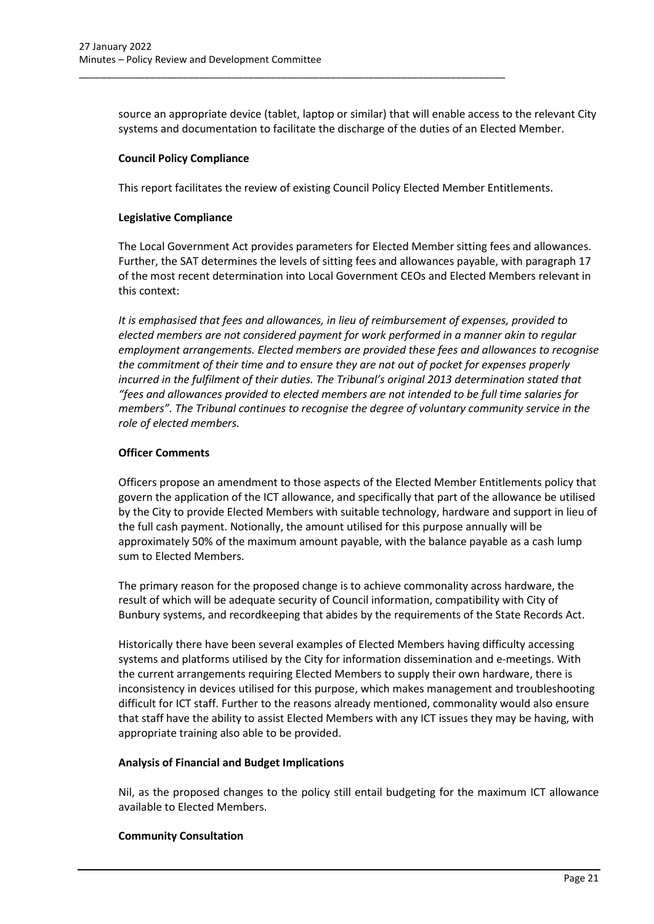source an appropriate device (tablet, laptop or similar) that will enable access to the relevant City systems and documentation to facilitate the discharge of the duties of an Elected Member.

### **Council Policy Compliance**

This report facilitates the review of existing Council Policy Elected Member Entitlements.

\_\_\_\_\_\_\_\_\_\_\_\_\_\_\_\_\_\_\_\_\_\_\_\_\_\_\_\_\_\_\_\_\_\_\_\_\_\_\_\_\_\_\_\_\_\_\_\_\_\_\_\_\_\_\_\_\_\_\_\_\_\_\_\_\_\_\_\_\_\_\_\_\_\_\_\_\_\_

### **Legislative Compliance**

The Local Government Act provides parameters for Elected Member sitting fees and allowances. Further, the SAT determines the levels of sitting fees and allowances payable, with paragraph 17 of the most recent determination into Local Government CEOs and Elected Members relevant in this context:

*It is emphasised that fees and allowances, in lieu of reimbursement of expenses, provided to elected members are not considered payment for work performed in a manner akin to regular employment arrangements. Elected members are provided these fees and allowances to recognise the commitment of their time and to ensure they are not out of pocket for expenses properly incurred in the fulfilment of their duties. The Tribunal's original 2013 determination stated that "fees and allowances provided to elected members are not intended to be full time salaries for members". The Tribunal continues to recognise the degree of voluntary community service in the role of elected members.* 

### **Officer Comments**

Officers propose an amendment to those aspects of the Elected Member Entitlements policy that govern the application of the ICT allowance, and specifically that part of the allowance be utilised by the City to provide Elected Members with suitable technology, hardware and support in lieu of the full cash payment. Notionally, the amount utilised for this purpose annually will be approximately 50% of the maximum amount payable, with the balance payable as a cash lump sum to Elected Members.

The primary reason for the proposed change is to achieve commonality across hardware, the result of which will be adequate security of Council information, compatibility with City of Bunbury systems, and recordkeeping that abides by the requirements of the State Records Act.

Historically there have been several examples of Elected Members having difficulty accessing systems and platforms utilised by the City for information dissemination and e-meetings. With the current arrangements requiring Elected Members to supply their own hardware, there is inconsistency in devices utilised for this purpose, which makes management and troubleshooting difficult for ICT staff. Further to the reasons already mentioned, commonality would also ensure that staff have the ability to assist Elected Members with any ICT issues they may be having, with appropriate training also able to be provided.

### **Analysis of Financial and Budget Implications**

Nil, as the proposed changes to the policy still entail budgeting for the maximum ICT allowance available to Elected Members.

### **Community Consultation**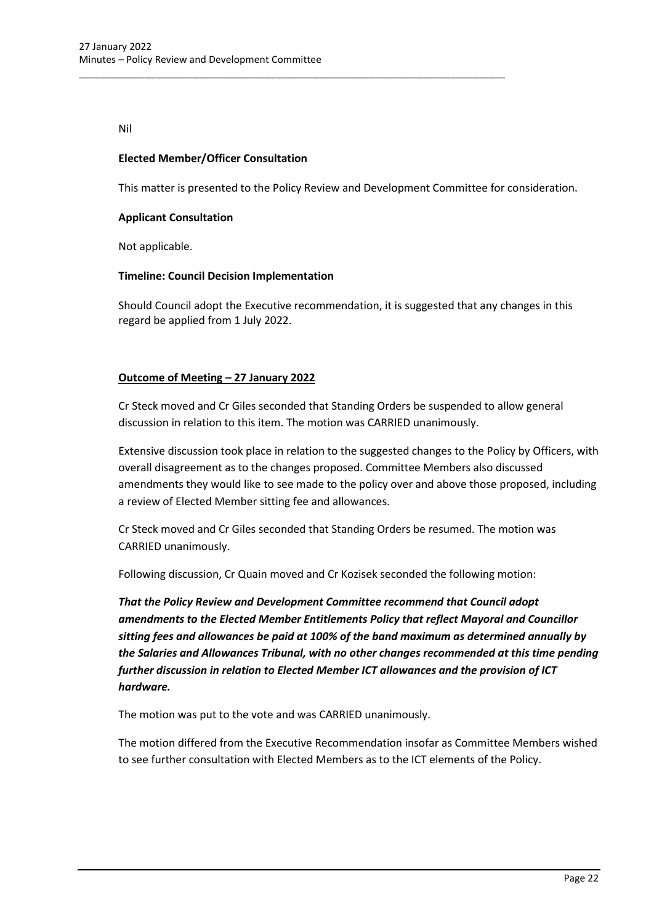Nil

### **Elected Member/Officer Consultation**

This matter is presented to the Policy Review and Development Committee for consideration.

\_\_\_\_\_\_\_\_\_\_\_\_\_\_\_\_\_\_\_\_\_\_\_\_\_\_\_\_\_\_\_\_\_\_\_\_\_\_\_\_\_\_\_\_\_\_\_\_\_\_\_\_\_\_\_\_\_\_\_\_\_\_\_\_\_\_\_\_\_\_\_\_\_\_\_\_\_\_

### **Applicant Consultation**

Not applicable.

### **Timeline: Council Decision Implementation**

Should Council adopt the Executive recommendation, it is suggested that any changes in this regard be applied from 1 July 2022.

### **Outcome of Meeting – 27 January 2022**

Cr Steck moved and Cr Giles seconded that Standing Orders be suspended to allow general discussion in relation to this item. The motion was CARRIED unanimously.

Extensive discussion took place in relation to the suggested changes to the Policy by Officers, with overall disagreement as to the changes proposed. Committee Members also discussed amendments they would like to see made to the policy over and above those proposed, including a review of Elected Member sitting fee and allowances.

Cr Steck moved and Cr Giles seconded that Standing Orders be resumed. The motion was CARRIED unanimously.

Following discussion, Cr Quain moved and Cr Kozisek seconded the following motion:

*That the Policy Review and Development Committee recommend that Council adopt amendments to the Elected Member Entitlements Policy that reflect Mayoral and Councillor sitting fees and allowances be paid at 100% of the band maximum as determined annually by the Salaries and Allowances Tribunal, with no other changes recommended at this time pending further discussion in relation to Elected Member ICT allowances and the provision of ICT hardware.*

The motion was put to the vote and was CARRIED unanimously.

The motion differed from the Executive Recommendation insofar as Committee Members wished to see further consultation with Elected Members as to the ICT elements of the Policy.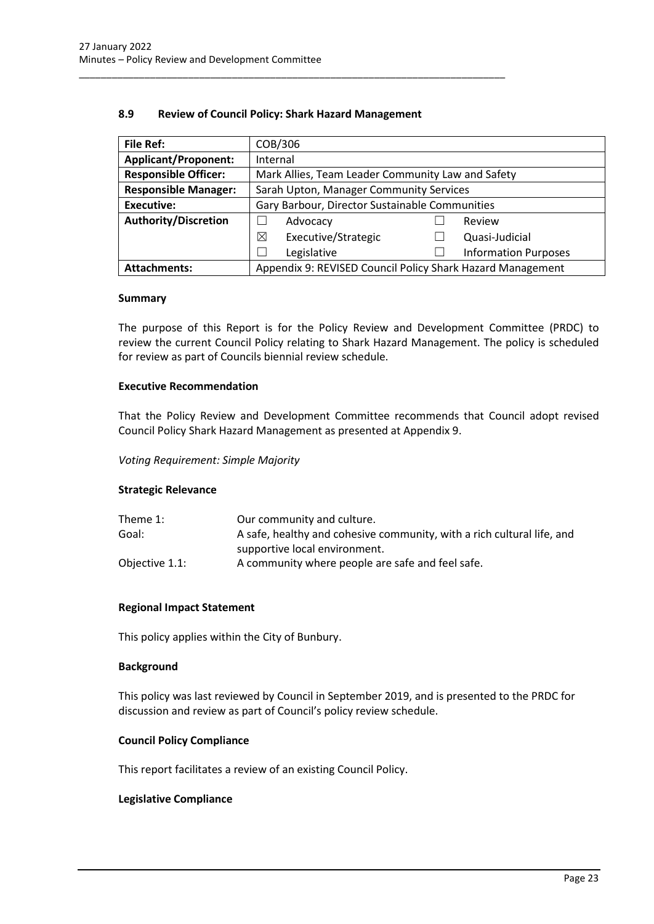### **8.9 Review of Council Policy: Shark Hazard Management**

<span id="page-23-0"></span>\_\_\_\_\_\_\_\_\_\_\_\_\_\_\_\_\_\_\_\_\_\_\_\_\_\_\_\_\_\_\_\_\_\_\_\_\_\_\_\_\_\_\_\_\_\_\_\_\_\_\_\_\_\_\_\_\_\_\_\_\_\_\_\_\_\_\_\_\_\_\_\_\_\_\_\_\_\_

| <b>File Ref:</b>            | COB/306                                                    |  |                             |  |
|-----------------------------|------------------------------------------------------------|--|-----------------------------|--|
| <b>Applicant/Proponent:</b> | Internal                                                   |  |                             |  |
| <b>Responsible Officer:</b> | Mark Allies, Team Leader Community Law and Safety          |  |                             |  |
| <b>Responsible Manager:</b> | Sarah Upton, Manager Community Services                    |  |                             |  |
| <b>Executive:</b>           | Gary Barbour, Director Sustainable Communities             |  |                             |  |
| <b>Authority/Discretion</b> | Advocacy<br>Review                                         |  |                             |  |
|                             | Executive/Strategic<br>⊠                                   |  | Quasi-Judicial              |  |
|                             | Legislative                                                |  | <b>Information Purposes</b> |  |
| <b>Attachments:</b>         | Appendix 9: REVISED Council Policy Shark Hazard Management |  |                             |  |

#### **Summary**

The purpose of this Report is for the Policy Review and Development Committee (PRDC) to review the current Council Policy relating to Shark Hazard Management. The policy is scheduled for review as part of Councils biennial review schedule.

### **Executive Recommendation**

That the Policy Review and Development Committee recommends that Council adopt revised Council Policy Shark Hazard Management as presented at Appendix 9.

#### *Voting Requirement: Simple Majority*

#### **Strategic Relevance**

| Our community and culture.                                             |
|------------------------------------------------------------------------|
| A safe, healthy and cohesive community, with a rich cultural life, and |
| supportive local environment.                                          |
| A community where people are safe and feel safe.                       |
|                                                                        |

#### **Regional Impact Statement**

This policy applies within the City of Bunbury.

#### **Background**

This policy was last reviewed by Council in September 2019, and is presented to the PRDC for discussion and review as part of Council's policy review schedule.

### **Council Policy Compliance**

This report facilitates a review of an existing Council Policy.

#### **Legislative Compliance**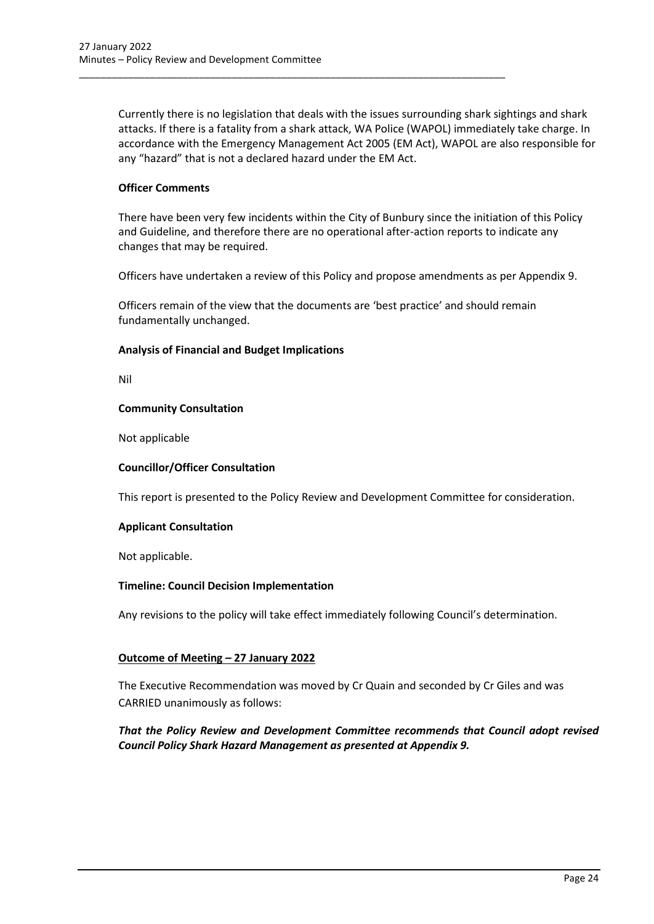Currently there is no legislation that deals with the issues surrounding shark sightings and shark attacks. If there is a fatality from a shark attack, WA Police (WAPOL) immediately take charge. In accordance with the Emergency Management Act 2005 (EM Act), WAPOL are also responsible for any "hazard" that is not a declared hazard under the EM Act.

\_\_\_\_\_\_\_\_\_\_\_\_\_\_\_\_\_\_\_\_\_\_\_\_\_\_\_\_\_\_\_\_\_\_\_\_\_\_\_\_\_\_\_\_\_\_\_\_\_\_\_\_\_\_\_\_\_\_\_\_\_\_\_\_\_\_\_\_\_\_\_\_\_\_\_\_\_\_

### **Officer Comments**

There have been very few incidents within the City of Bunbury since the initiation of this Policy and Guideline, and therefore there are no operational after-action reports to indicate any changes that may be required.

Officers have undertaken a review of this Policy and propose amendments as per Appendix 9.

Officers remain of the view that the documents are 'best practice' and should remain fundamentally unchanged.

### **Analysis of Financial and Budget Implications**

Nil

### **Community Consultation**

Not applicable

### **Councillor/Officer Consultation**

This report is presented to the Policy Review and Development Committee for consideration.

### **Applicant Consultation**

Not applicable.

### **Timeline: Council Decision Implementation**

Any revisions to the policy will take effect immediately following Council's determination.

### **Outcome of Meeting – 27 January 2022**

The Executive Recommendation was moved by Cr Quain and seconded by Cr Giles and was CARRIED unanimously as follows:

### *That the Policy Review and Development Committee recommends that Council adopt revised Council Policy Shark Hazard Management as presented at Appendix 9.*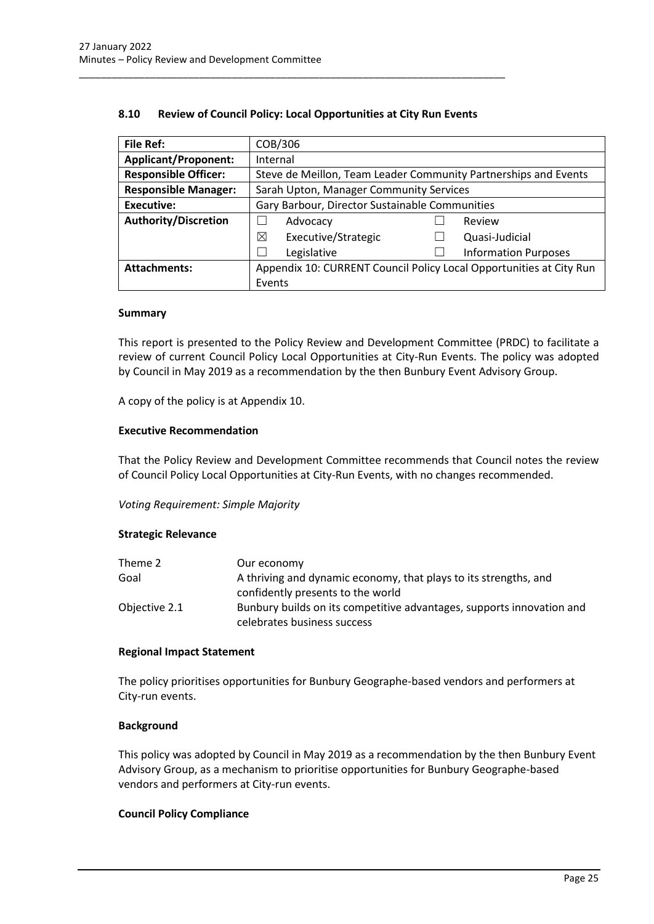| <b>File Ref:</b>            | COB/306                                                             |                                                                 |                             |  |  |
|-----------------------------|---------------------------------------------------------------------|-----------------------------------------------------------------|-----------------------------|--|--|
| <b>Applicant/Proponent:</b> | Internal                                                            |                                                                 |                             |  |  |
| <b>Responsible Officer:</b> |                                                                     | Steve de Meillon, Team Leader Community Partnerships and Events |                             |  |  |
| <b>Responsible Manager:</b> | Sarah Upton, Manager Community Services                             |                                                                 |                             |  |  |
| <b>Executive:</b>           | Gary Barbour, Director Sustainable Communities                      |                                                                 |                             |  |  |
| <b>Authority/Discretion</b> | Advocacy                                                            |                                                                 | Review                      |  |  |
|                             | ⊠<br>Executive/Strategic                                            |                                                                 | Quasi-Judicial              |  |  |
|                             | Legislative                                                         |                                                                 | <b>Information Purposes</b> |  |  |
| <b>Attachments:</b>         | Appendix 10: CURRENT Council Policy Local Opportunities at City Run |                                                                 |                             |  |  |
|                             | Events                                                              |                                                                 |                             |  |  |

### **8.10 Review of Council Policy: Local Opportunities at City Run Events**

<span id="page-25-0"></span>\_\_\_\_\_\_\_\_\_\_\_\_\_\_\_\_\_\_\_\_\_\_\_\_\_\_\_\_\_\_\_\_\_\_\_\_\_\_\_\_\_\_\_\_\_\_\_\_\_\_\_\_\_\_\_\_\_\_\_\_\_\_\_\_\_\_\_\_\_\_\_\_\_\_\_\_\_\_

#### **Summary**

This report is presented to the Policy Review and Development Committee (PRDC) to facilitate a review of current Council Policy Local Opportunities at City-Run Events. The policy was adopted by Council in May 2019 as a recommendation by the then Bunbury Event Advisory Group.

A copy of the policy is at Appendix 10.

#### **Executive Recommendation**

That the Policy Review and Development Committee recommends that Council notes the review of Council Policy Local Opportunities at City-Run Events, with no changes recommended.

*Voting Requirement: Simple Majority*

### **Strategic Relevance**

| Theme 2       | Our economy                                                           |
|---------------|-----------------------------------------------------------------------|
| Goal          | A thriving and dynamic economy, that plays to its strengths, and      |
|               | confidently presents to the world                                     |
| Objective 2.1 | Bunbury builds on its competitive advantages, supports innovation and |
|               | celebrates business success                                           |

#### **Regional Impact Statement**

The policy prioritises opportunities for Bunbury Geographe-based vendors and performers at City-run events.

### **Background**

This policy was adopted by Council in May 2019 as a recommendation by the then Bunbury Event Advisory Group, as a mechanism to prioritise opportunities for Bunbury Geographe-based vendors and performers at City-run events.

### **Council Policy Compliance**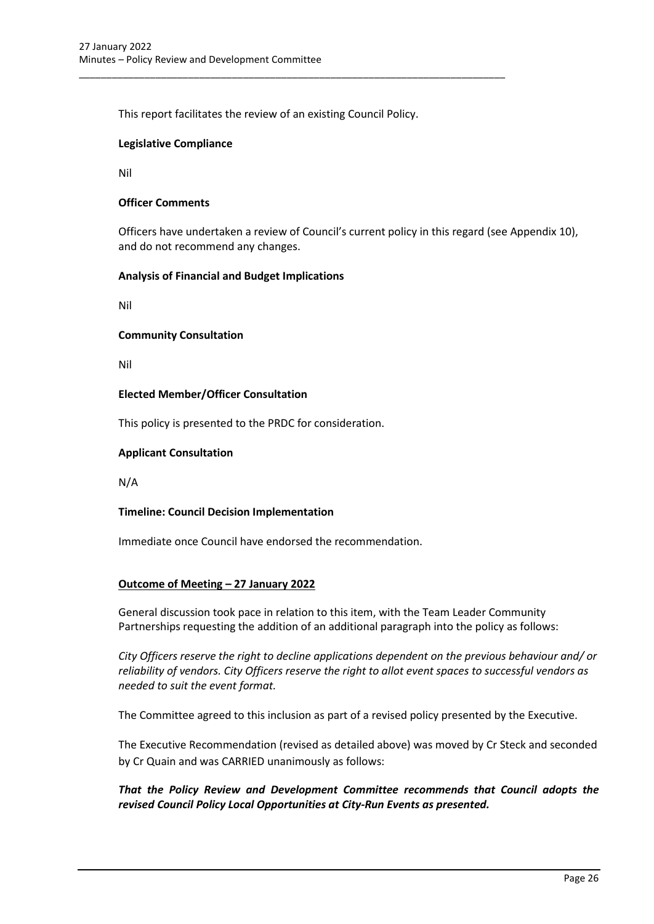This report facilitates the review of an existing Council Policy.

\_\_\_\_\_\_\_\_\_\_\_\_\_\_\_\_\_\_\_\_\_\_\_\_\_\_\_\_\_\_\_\_\_\_\_\_\_\_\_\_\_\_\_\_\_\_\_\_\_\_\_\_\_\_\_\_\_\_\_\_\_\_\_\_\_\_\_\_\_\_\_\_\_\_\_\_\_\_

### **Legislative Compliance**

Nil

### **Officer Comments**

Officers have undertaken a review of Council's current policy in this regard (see Appendix 10), and do not recommend any changes.

### **Analysis of Financial and Budget Implications**

Nil

#### **Community Consultation**

Nil

### **Elected Member/Officer Consultation**

This policy is presented to the PRDC for consideration.

### **Applicant Consultation**

N/A

### **Timeline: Council Decision Implementation**

Immediate once Council have endorsed the recommendation.

### **Outcome of Meeting – 27 January 2022**

General discussion took pace in relation to this item, with the Team Leader Community Partnerships requesting the addition of an additional paragraph into the policy as follows:

*City Officers reserve the right to decline applications dependent on the previous behaviour and/ or reliability of vendors. City Officers reserve the right to allot event spaces to successful vendors as needed to suit the event format.*

The Committee agreed to this inclusion as part of a revised policy presented by the Executive.

The Executive Recommendation (revised as detailed above) was moved by Cr Steck and seconded by Cr Quain and was CARRIED unanimously as follows:

*That the Policy Review and Development Committee recommends that Council adopts the revised Council Policy Local Opportunities at City-Run Events as presented.*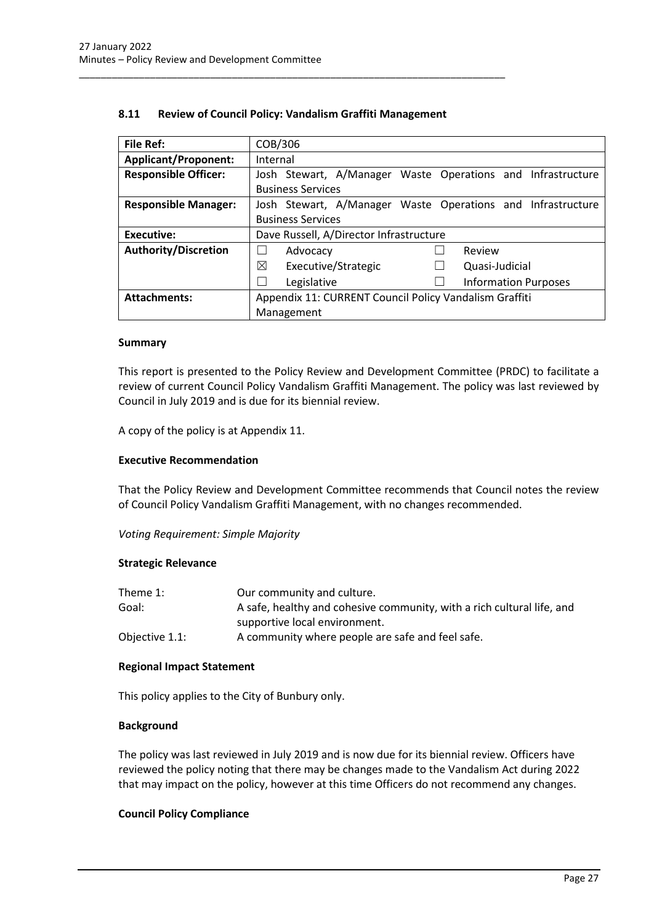| <b>File Ref:</b>            | COB/306                                                     |  |  |  |
|-----------------------------|-------------------------------------------------------------|--|--|--|
| <b>Applicant/Proponent:</b> | Internal                                                    |  |  |  |
| <b>Responsible Officer:</b> | Josh Stewart, A/Manager Waste Operations and Infrastructure |  |  |  |
|                             | <b>Business Services</b>                                    |  |  |  |
| <b>Responsible Manager:</b> | Josh Stewart, A/Manager Waste Operations and Infrastructure |  |  |  |
|                             | <b>Business Services</b>                                    |  |  |  |
| Executive:                  | Dave Russell, A/Director Infrastructure                     |  |  |  |
| <b>Authority/Discretion</b> | Review<br>Advocacy                                          |  |  |  |
|                             | ⊠<br>Executive/Strategic<br>Quasi-Judicial                  |  |  |  |
|                             | Legislative<br><b>Information Purposes</b>                  |  |  |  |
| <b>Attachments:</b>         | Appendix 11: CURRENT Council Policy Vandalism Graffiti      |  |  |  |
|                             | Management                                                  |  |  |  |

### **8.11 Review of Council Policy: Vandalism Graffiti Management**

<span id="page-27-0"></span>\_\_\_\_\_\_\_\_\_\_\_\_\_\_\_\_\_\_\_\_\_\_\_\_\_\_\_\_\_\_\_\_\_\_\_\_\_\_\_\_\_\_\_\_\_\_\_\_\_\_\_\_\_\_\_\_\_\_\_\_\_\_\_\_\_\_\_\_\_\_\_\_\_\_\_\_\_\_

#### **Summary**

This report is presented to the Policy Review and Development Committee (PRDC) to facilitate a review of current Council Policy Vandalism Graffiti Management. The policy was last reviewed by Council in July 2019 and is due for its biennial review.

A copy of the policy is at Appendix 11.

#### **Executive Recommendation**

That the Policy Review and Development Committee recommends that Council notes the review of Council Policy Vandalism Graffiti Management, with no changes recommended.

*Voting Requirement: Simple Majority*

#### **Strategic Relevance**

| Theme $1$ :    | Our community and culture.                                             |
|----------------|------------------------------------------------------------------------|
| Goal:          | A safe, healthy and cohesive community, with a rich cultural life, and |
|                | supportive local environment.                                          |
| Objective 1.1: | A community where people are safe and feel safe.                       |

### **Regional Impact Statement**

This policy applies to the City of Bunbury only.

#### **Background**

The policy was last reviewed in July 2019 and is now due for its biennial review. Officers have reviewed the policy noting that there may be changes made to the Vandalism Act during 2022 that may impact on the policy, however at this time Officers do not recommend any changes.

### **Council Policy Compliance**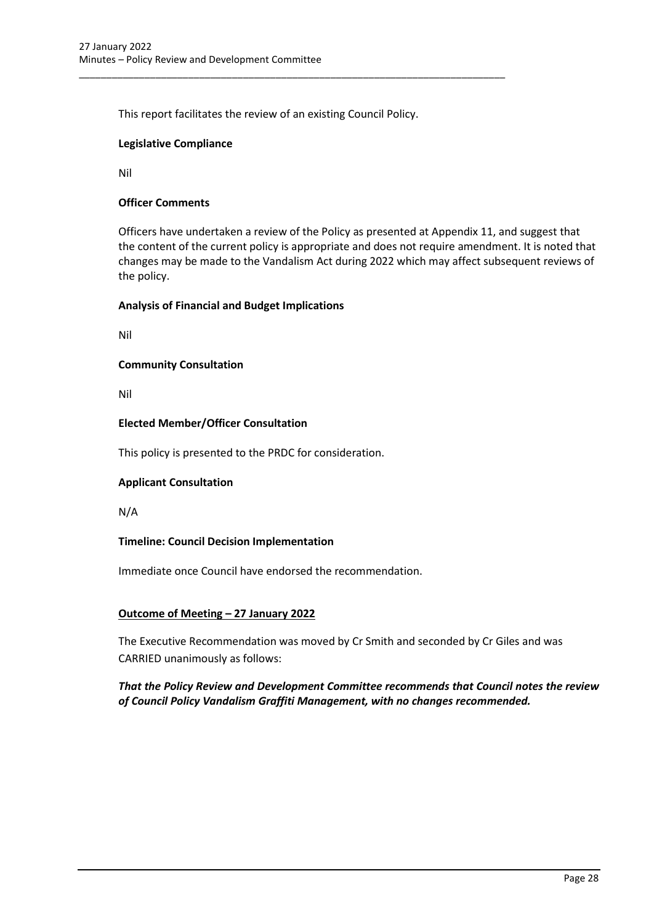This report facilitates the review of an existing Council Policy.

\_\_\_\_\_\_\_\_\_\_\_\_\_\_\_\_\_\_\_\_\_\_\_\_\_\_\_\_\_\_\_\_\_\_\_\_\_\_\_\_\_\_\_\_\_\_\_\_\_\_\_\_\_\_\_\_\_\_\_\_\_\_\_\_\_\_\_\_\_\_\_\_\_\_\_\_\_\_

### **Legislative Compliance**

Nil

### **Officer Comments**

Officers have undertaken a review of the Policy as presented at Appendix 11, and suggest that the content of the current policy is appropriate and does not require amendment. It is noted that changes may be made to the Vandalism Act during 2022 which may affect subsequent reviews of the policy.

### **Analysis of Financial and Budget Implications**

Nil

### **Community Consultation**

Nil

### **Elected Member/Officer Consultation**

This policy is presented to the PRDC for consideration.

### **Applicant Consultation**

N/A

### **Timeline: Council Decision Implementation**

Immediate once Council have endorsed the recommendation.

### **Outcome of Meeting – 27 January 2022**

The Executive Recommendation was moved by Cr Smith and seconded by Cr Giles and was CARRIED unanimously as follows:

*That the Policy Review and Development Committee recommends that Council notes the review of Council Policy Vandalism Graffiti Management, with no changes recommended.*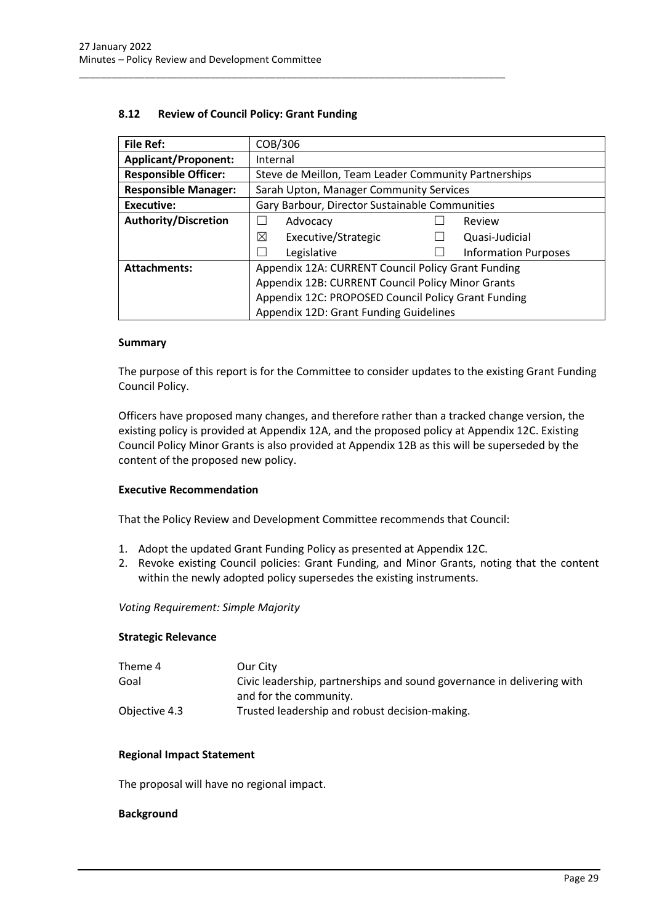<span id="page-29-0"></span>\_\_\_\_\_\_\_\_\_\_\_\_\_\_\_\_\_\_\_\_\_\_\_\_\_\_\_\_\_\_\_\_\_\_\_\_\_\_\_\_\_\_\_\_\_\_\_\_\_\_\_\_\_\_\_\_\_\_\_\_\_\_\_\_\_\_\_\_\_\_\_\_\_\_\_\_\_\_

| File Ref:                   | COB/306                                              |  |                             |
|-----------------------------|------------------------------------------------------|--|-----------------------------|
| <b>Applicant/Proponent:</b> | Internal                                             |  |                             |
| <b>Responsible Officer:</b> | Steve de Meillon, Team Leader Community Partnerships |  |                             |
| <b>Responsible Manager:</b> | Sarah Upton, Manager Community Services              |  |                             |
| <b>Executive:</b>           | Gary Barbour, Director Sustainable Communities       |  |                             |
| <b>Authority/Discretion</b> | Advocacy                                             |  | Review                      |
|                             | ⊠<br>Executive/Strategic                             |  | Quasi-Judicial              |
|                             | Legislative                                          |  | <b>Information Purposes</b> |
| <b>Attachments:</b>         | Appendix 12A: CURRENT Council Policy Grant Funding   |  |                             |
|                             | Appendix 12B: CURRENT Council Policy Minor Grants    |  |                             |
|                             | Appendix 12C: PROPOSED Council Policy Grant Funding  |  |                             |
|                             | Appendix 12D: Grant Funding Guidelines               |  |                             |

### **Summary**

The purpose of this report is for the Committee to consider updates to the existing Grant Funding Council Policy.

Officers have proposed many changes, and therefore rather than a tracked change version, the existing policy is provided at Appendix 12A, and the proposed policy at Appendix 12C. Existing Council Policy Minor Grants is also provided at Appendix 12B as this will be superseded by the content of the proposed new policy.

### **Executive Recommendation**

That the Policy Review and Development Committee recommends that Council:

- 1. Adopt the updated Grant Funding Policy as presented at Appendix 12C.
- 2. Revoke existing Council policies: Grant Funding, and Minor Grants, noting that the content within the newly adopted policy supersedes the existing instruments.

### *Voting Requirement: Simple Majority*

#### **Strategic Relevance**

| Our City                                                               |
|------------------------------------------------------------------------|
| Civic leadership, partnerships and sound governance in delivering with |
| and for the community.                                                 |
| Trusted leadership and robust decision-making.                         |
|                                                                        |

### **Regional Impact Statement**

The proposal will have no regional impact.

### **Background**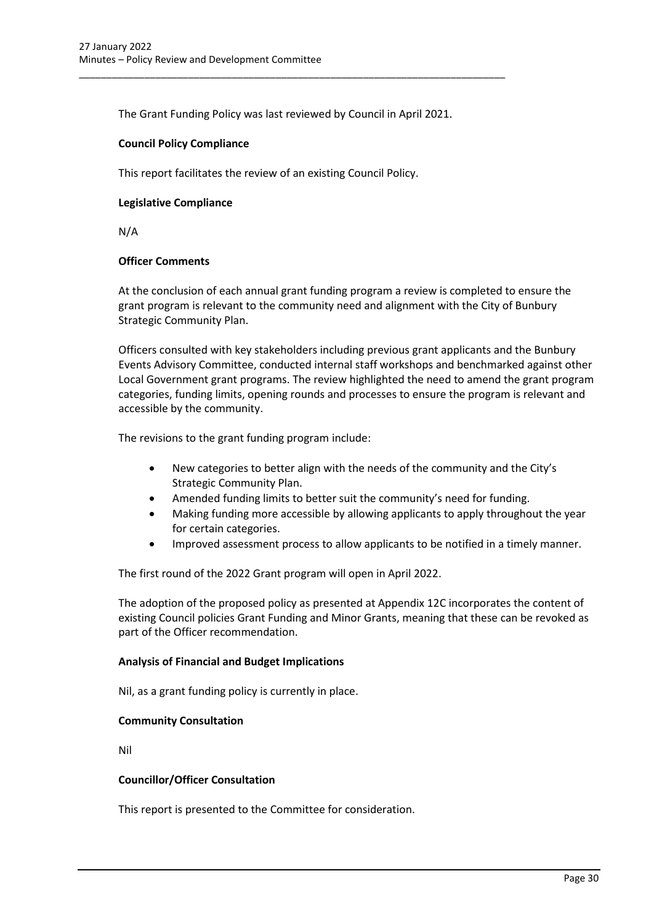The Grant Funding Policy was last reviewed by Council in April 2021.

\_\_\_\_\_\_\_\_\_\_\_\_\_\_\_\_\_\_\_\_\_\_\_\_\_\_\_\_\_\_\_\_\_\_\_\_\_\_\_\_\_\_\_\_\_\_\_\_\_\_\_\_\_\_\_\_\_\_\_\_\_\_\_\_\_\_\_\_\_\_\_\_\_\_\_\_\_\_

### **Council Policy Compliance**

This report facilitates the review of an existing Council Policy.

### **Legislative Compliance**

N/A

### **Officer Comments**

At the conclusion of each annual grant funding program a review is completed to ensure the grant program is relevant to the community need and alignment with the City of Bunbury Strategic Community Plan.

Officers consulted with key stakeholders including previous grant applicants and the Bunbury Events Advisory Committee, conducted internal staff workshops and benchmarked against other Local Government grant programs. The review highlighted the need to amend the grant program categories, funding limits, opening rounds and processes to ensure the program is relevant and accessible by the community.

The revisions to the grant funding program include:

- New categories to better align with the needs of the community and the City's Strategic Community Plan.
- Amended funding limits to better suit the community's need for funding.
- Making funding more accessible by allowing applicants to apply throughout the year for certain categories.
- Improved assessment process to allow applicants to be notified in a timely manner.

The first round of the 2022 Grant program will open in April 2022.

The adoption of the proposed policy as presented at Appendix 12C incorporates the content of existing Council policies Grant Funding and Minor Grants, meaning that these can be revoked as part of the Officer recommendation.

### **Analysis of Financial and Budget Implications**

Nil, as a grant funding policy is currently in place.

### **Community Consultation**

Nil

### **Councillor/Officer Consultation**

This report is presented to the Committee for consideration.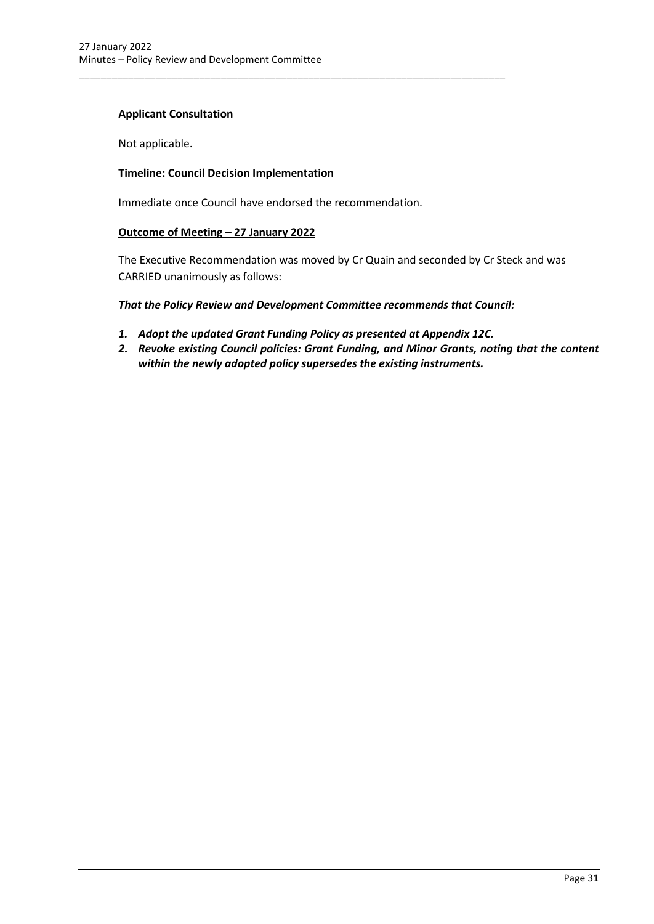### **Applicant Consultation**

Not applicable.

### **Timeline: Council Decision Implementation**

Immediate once Council have endorsed the recommendation.

\_\_\_\_\_\_\_\_\_\_\_\_\_\_\_\_\_\_\_\_\_\_\_\_\_\_\_\_\_\_\_\_\_\_\_\_\_\_\_\_\_\_\_\_\_\_\_\_\_\_\_\_\_\_\_\_\_\_\_\_\_\_\_\_\_\_\_\_\_\_\_\_\_\_\_\_\_\_

### **Outcome of Meeting – 27 January 2022**

The Executive Recommendation was moved by Cr Quain and seconded by Cr Steck and was CARRIED unanimously as follows:

### *That the Policy Review and Development Committee recommends that Council:*

- *1. Adopt the updated Grant Funding Policy as presented at Appendix 12C.*
- *2. Revoke existing Council policies: Grant Funding, and Minor Grants, noting that the content within the newly adopted policy supersedes the existing instruments.*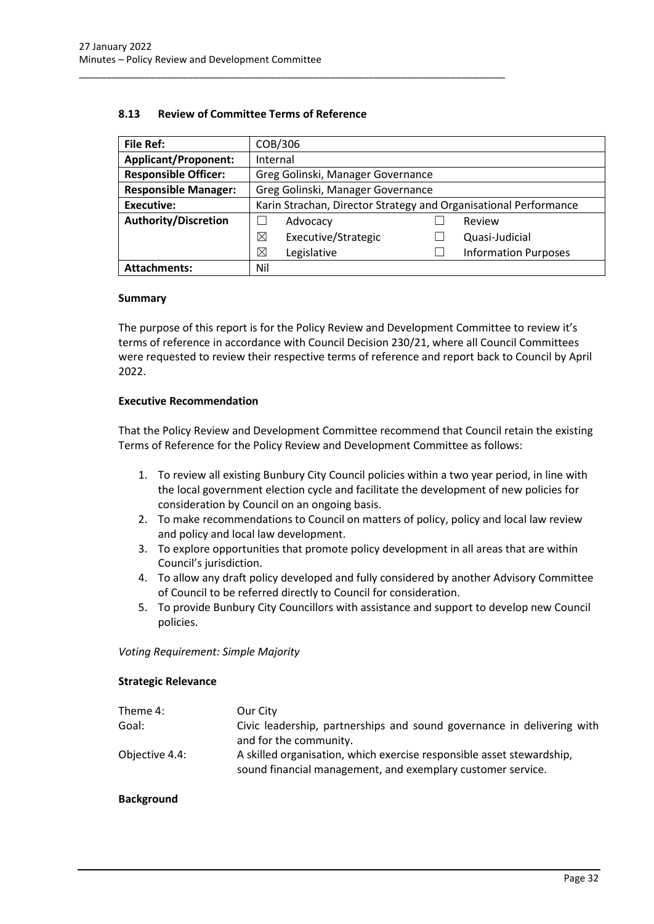| <b>File Ref:</b>            | COB/306                                                          |  |                             |
|-----------------------------|------------------------------------------------------------------|--|-----------------------------|
| <b>Applicant/Proponent:</b> | Internal                                                         |  |                             |
| <b>Responsible Officer:</b> | Greg Golinski, Manager Governance                                |  |                             |
| <b>Responsible Manager:</b> | Greg Golinski, Manager Governance                                |  |                             |
| Executive:                  | Karin Strachan, Director Strategy and Organisational Performance |  |                             |
| <b>Authority/Discretion</b> | Advocacy                                                         |  | Review                      |
|                             | ⊠<br>Executive/Strategic                                         |  | Quasi-Judicial              |
|                             | ⊠<br>Legislative                                                 |  | <b>Information Purposes</b> |
| <b>Attachments:</b>         | Nil                                                              |  |                             |

### **8.13 Review of Committee Terms of Reference**

<span id="page-32-0"></span>\_\_\_\_\_\_\_\_\_\_\_\_\_\_\_\_\_\_\_\_\_\_\_\_\_\_\_\_\_\_\_\_\_\_\_\_\_\_\_\_\_\_\_\_\_\_\_\_\_\_\_\_\_\_\_\_\_\_\_\_\_\_\_\_\_\_\_\_\_\_\_\_\_\_\_\_\_\_

#### **Summary**

The purpose of this report is for the Policy Review and Development Committee to review it's terms of reference in accordance with Council Decision 230/21, where all Council Committees were requested to review their respective terms of reference and report back to Council by April 2022.

#### **Executive Recommendation**

That the Policy Review and Development Committee recommend that Council retain the existing Terms of Reference for the Policy Review and Development Committee as follows:

- 1. To review all existing Bunbury City Council policies within a two year period, in line with the local government election cycle and facilitate the development of new policies for consideration by Council on an ongoing basis.
- 2. To make recommendations to Council on matters of policy, policy and local law review and policy and local law development.
- 3. To explore opportunities that promote policy development in all areas that are within Council's jurisdiction.
- 4. To allow any draft policy developed and fully considered by another Advisory Committee of Council to be referred directly to Council for consideration.
- 5. To provide Bunbury City Councillors with assistance and support to develop new Council policies.

*Voting Requirement: Simple Majority* 

#### **Strategic Relevance**

| Our City                                                                                                                             |
|--------------------------------------------------------------------------------------------------------------------------------------|
| Civic leadership, partnerships and sound governance in delivering with                                                               |
| and for the community.                                                                                                               |
| A skilled organisation, which exercise responsible asset stewardship,<br>sound financial management, and exemplary customer service. |
|                                                                                                                                      |

#### **Background**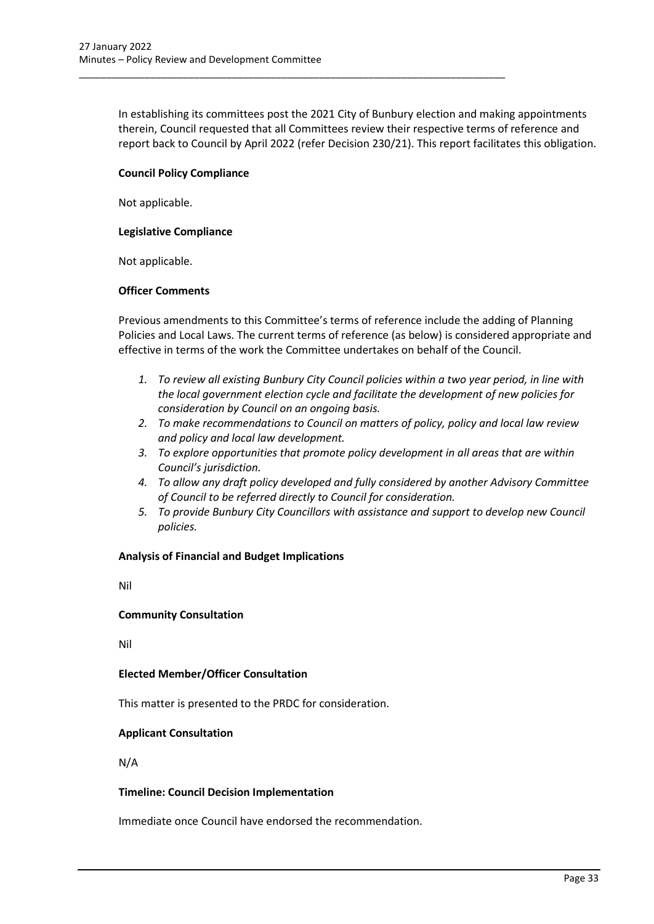In establishing its committees post the 2021 City of Bunbury election and making appointments therein, Council requested that all Committees review their respective terms of reference and report back to Council by April 2022 (refer Decision 230/21). This report facilitates this obligation.

\_\_\_\_\_\_\_\_\_\_\_\_\_\_\_\_\_\_\_\_\_\_\_\_\_\_\_\_\_\_\_\_\_\_\_\_\_\_\_\_\_\_\_\_\_\_\_\_\_\_\_\_\_\_\_\_\_\_\_\_\_\_\_\_\_\_\_\_\_\_\_\_\_\_\_\_\_\_

### **Council Policy Compliance**

Not applicable.

### **Legislative Compliance**

Not applicable.

### **Officer Comments**

Previous amendments to this Committee's terms of reference include the adding of Planning Policies and Local Laws. The current terms of reference (as below) is considered appropriate and effective in terms of the work the Committee undertakes on behalf of the Council.

- *1. To review all existing Bunbury City Council policies within a two year period, in line with the local government election cycle and facilitate the development of new policies for consideration by Council on an ongoing basis.*
- *2. To make recommendations to Council on matters of policy, policy and local law review and policy and local law development.*
- *3. To explore opportunities that promote policy development in all areas that are within Council's jurisdiction.*
- *4. To allow any draft policy developed and fully considered by another Advisory Committee of Council to be referred directly to Council for consideration.*
- *5. To provide Bunbury City Councillors with assistance and support to develop new Council policies.*

### **Analysis of Financial and Budget Implications**

Nil

### **Community Consultation**

Nil

### **Elected Member/Officer Consultation**

This matter is presented to the PRDC for consideration.

### **Applicant Consultation**

N/A

### **Timeline: Council Decision Implementation**

Immediate once Council have endorsed the recommendation.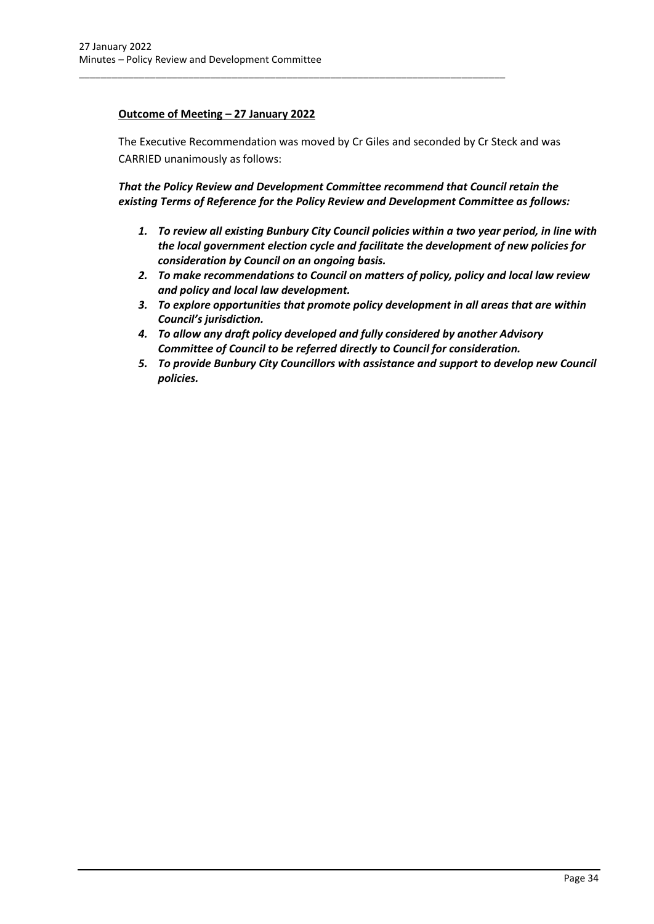### **Outcome of Meeting – 27 January 2022**

The Executive Recommendation was moved by Cr Giles and seconded by Cr Steck and was CARRIED unanimously as follows:

\_\_\_\_\_\_\_\_\_\_\_\_\_\_\_\_\_\_\_\_\_\_\_\_\_\_\_\_\_\_\_\_\_\_\_\_\_\_\_\_\_\_\_\_\_\_\_\_\_\_\_\_\_\_\_\_\_\_\_\_\_\_\_\_\_\_\_\_\_\_\_\_\_\_\_\_\_\_

*That the Policy Review and Development Committee recommend that Council retain the existing Terms of Reference for the Policy Review and Development Committee as follows:*

- *1. To review all existing Bunbury City Council policies within a two year period, in line with the local government election cycle and facilitate the development of new policies for consideration by Council on an ongoing basis.*
- *2. To make recommendations to Council on matters of policy, policy and local law review and policy and local law development.*
- *3. To explore opportunities that promote policy development in all areas that are within Council's jurisdiction.*
- *4. To allow any draft policy developed and fully considered by another Advisory Committee of Council to be referred directly to Council for consideration.*
- *5. To provide Bunbury City Councillors with assistance and support to develop new Council policies.*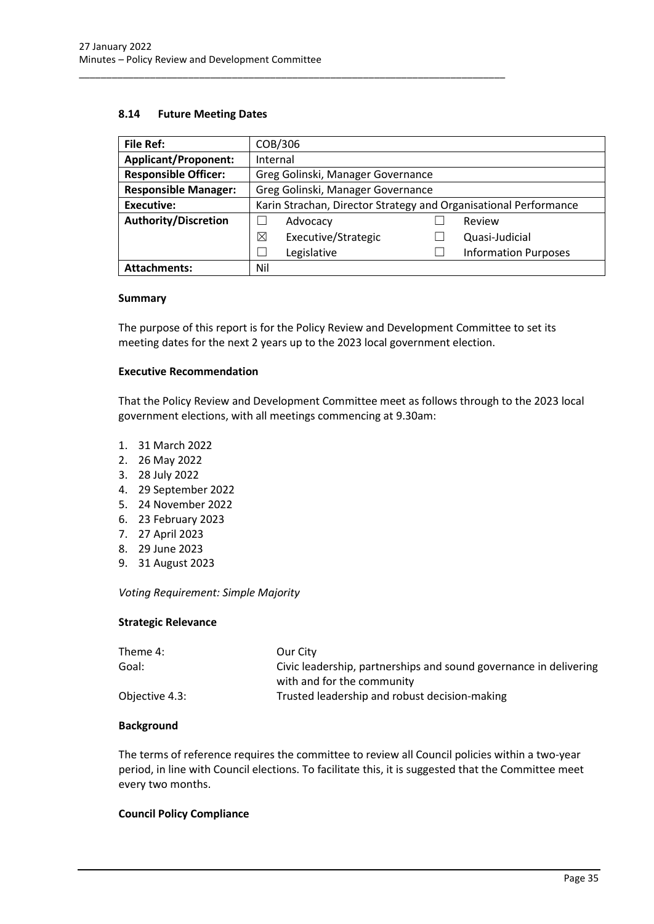### **8.14 Future Meeting Dates**

| <b>File Ref:</b>            | COB/306                                                          |  |                             |
|-----------------------------|------------------------------------------------------------------|--|-----------------------------|
| <b>Applicant/Proponent:</b> | Internal                                                         |  |                             |
| <b>Responsible Officer:</b> | Greg Golinski, Manager Governance                                |  |                             |
| <b>Responsible Manager:</b> | Greg Golinski, Manager Governance                                |  |                             |
| <b>Executive:</b>           | Karin Strachan, Director Strategy and Organisational Performance |  |                             |
| <b>Authority/Discretion</b> | Advocacy                                                         |  | Review                      |
|                             | ⊠<br>Executive/Strategic                                         |  | Quasi-Judicial              |
|                             | Legislative                                                      |  | <b>Information Purposes</b> |
| <b>Attachments:</b>         | Nil                                                              |  |                             |

<span id="page-35-0"></span>\_\_\_\_\_\_\_\_\_\_\_\_\_\_\_\_\_\_\_\_\_\_\_\_\_\_\_\_\_\_\_\_\_\_\_\_\_\_\_\_\_\_\_\_\_\_\_\_\_\_\_\_\_\_\_\_\_\_\_\_\_\_\_\_\_\_\_\_\_\_\_\_\_\_\_\_\_\_

#### **Summary**

The purpose of this report is for the Policy Review and Development Committee to set its meeting dates for the next 2 years up to the 2023 local government election.

#### **Executive Recommendation**

That the Policy Review and Development Committee meet as follows through to the 2023 local government elections, with all meetings commencing at 9.30am:

- 1. 31 March 2022
- 2. 26 May 2022
- 3. 28 July 2022
- 4. 29 September 2022
- 5. 24 November 2022
- 6. 23 February 2023
- 7. 27 April 2023
- 8. 29 June 2023
- 9. 31 August 2023

*Voting Requirement: Simple Majority* 

### **Strategic Relevance**

| Theme 4:       | Our City                                                          |
|----------------|-------------------------------------------------------------------|
| Goal:          | Civic leadership, partnerships and sound governance in delivering |
|                | with and for the community                                        |
| Objective 4.3: | Trusted leadership and robust decision-making                     |

#### **Background**

The terms of reference requires the committee to review all Council policies within a two-year period, in line with Council elections. To facilitate this, it is suggested that the Committee meet every two months.

### **Council Policy Compliance**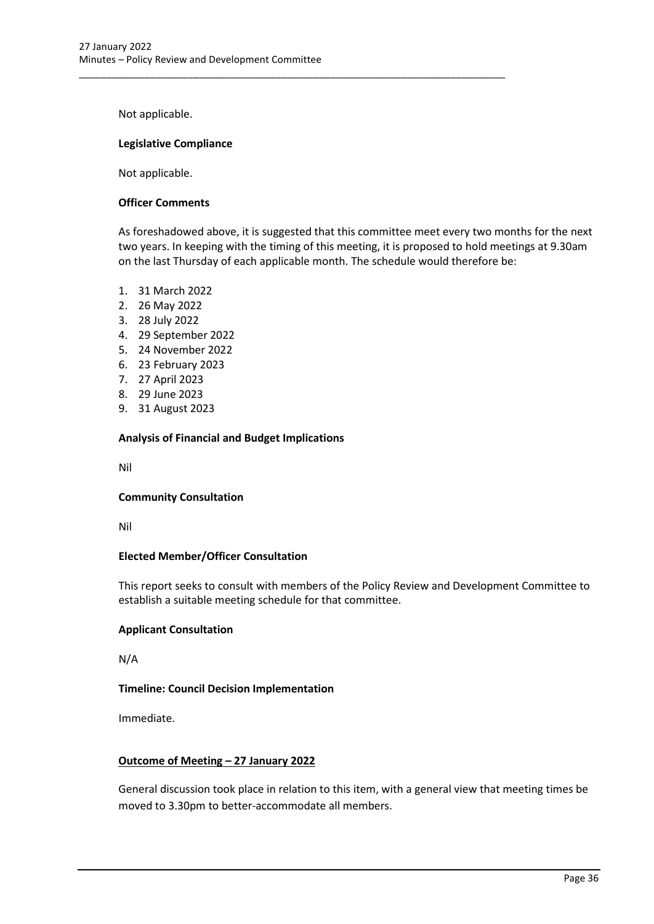\_\_\_\_\_\_\_\_\_\_\_\_\_\_\_\_\_\_\_\_\_\_\_\_\_\_\_\_\_\_\_\_\_\_\_\_\_\_\_\_\_\_\_\_\_\_\_\_\_\_\_\_\_\_\_\_\_\_\_\_\_\_\_\_\_\_\_\_\_\_\_\_\_\_\_\_\_\_

Not applicable.

### **Legislative Compliance**

Not applicable.

### **Officer Comments**

As foreshadowed above, it is suggested that this committee meet every two months for the next two years. In keeping with the timing of this meeting, it is proposed to hold meetings at 9.30am on the last Thursday of each applicable month. The schedule would therefore be:

- 1. 31 March 2022
- 2. 26 May 2022
- 3. 28 July 2022
- 4. 29 September 2022
- 5. 24 November 2022
- 6. 23 February 2023
- 7. 27 April 2023
- 8. 29 June 2023
- 9. 31 August 2023

### **Analysis of Financial and Budget Implications**

Nil

### **Community Consultation**

Nil

### **Elected Member/Officer Consultation**

This report seeks to consult with members of the Policy Review and Development Committee to establish a suitable meeting schedule for that committee.

### **Applicant Consultation**

N/A

### **Timeline: Council Decision Implementation**

Immediate.

### **Outcome of Meeting – 27 January 2022**

General discussion took place in relation to this item, with a general view that meeting times be moved to 3.30pm to better-accommodate all members.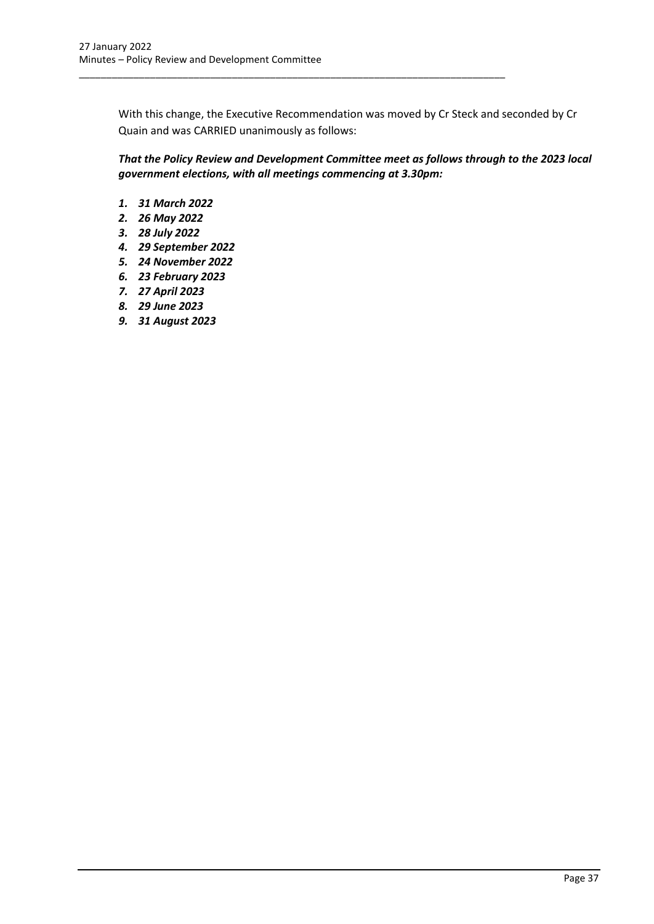With this change, the Executive Recommendation was moved by Cr Steck and seconded by Cr Quain and was CARRIED unanimously as follows:

\_\_\_\_\_\_\_\_\_\_\_\_\_\_\_\_\_\_\_\_\_\_\_\_\_\_\_\_\_\_\_\_\_\_\_\_\_\_\_\_\_\_\_\_\_\_\_\_\_\_\_\_\_\_\_\_\_\_\_\_\_\_\_\_\_\_\_\_\_\_\_\_\_\_\_\_\_\_

*That the Policy Review and Development Committee meet as follows through to the 2023 local government elections, with all meetings commencing at 3.30pm:*

- *1. 31 March 2022*
- *2. 26 May 2022*
- *3. 28 July 2022*
- *4. 29 September 2022*
- *5. 24 November 2022*
- *6. 23 February 2023*
- *7. 27 April 2023*
- *8. 29 June 2023*
- *9. 31 August 2023*